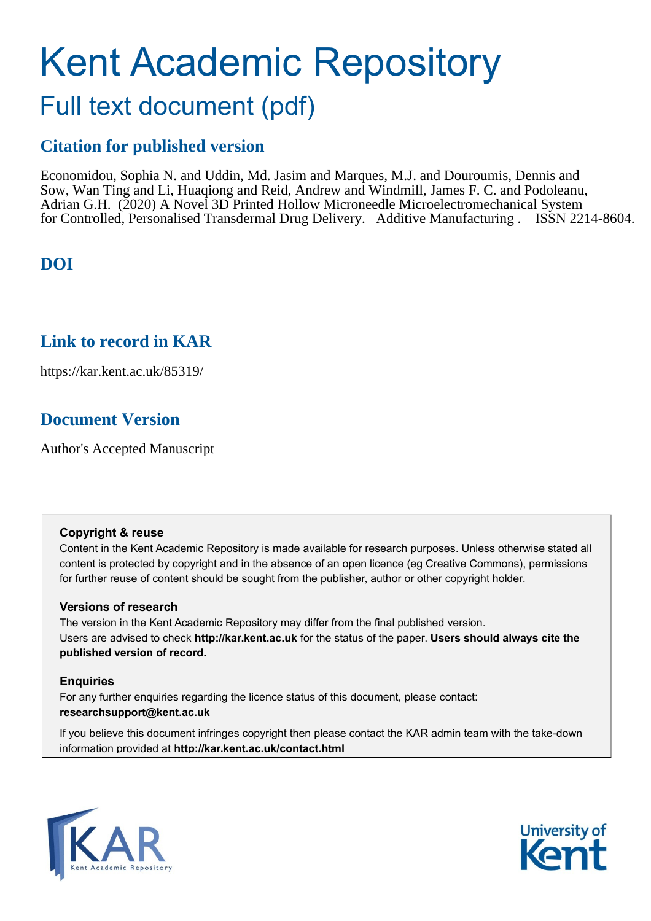# Kent Academic Repository

## Full text document (pdf)

## **Citation for published version**

Economidou, Sophia N. and Uddin, Md. Jasim and Marques, M.J. and Douroumis, Dennis and Sow, Wan Ting and Li, Huaqiong and Reid, Andrew and Windmill, James F. C. and Podoleanu, Adrian G.H. (2020) A Novel 3D Printed Hollow Microneedle Microelectromechanical System for Controlled, Personalised Transdermal Drug Delivery. Additive Manufacturing . ISSN 2214-8604.

## **DOI**

## **Link to record in KAR**

https://kar.kent.ac.uk/85319/

## **Document Version**

Author's Accepted Manuscript

#### **Copyright & reuse**

Content in the Kent Academic Repository is made available for research purposes. Unless otherwise stated all content is protected by copyright and in the absence of an open licence (eg Creative Commons), permissions for further reuse of content should be sought from the publisher, author or other copyright holder.

#### **Versions of research**

The version in the Kent Academic Repository may differ from the final published version. Users are advised to check **http://kar.kent.ac.uk** for the status of the paper. **Users should always cite the published version of record.**

#### **Enquiries**

For any further enquiries regarding the licence status of this document, please contact: **researchsupport@kent.ac.uk**

If you believe this document infringes copyright then please contact the KAR admin team with the take-down information provided at **http://kar.kent.ac.uk/contact.html**



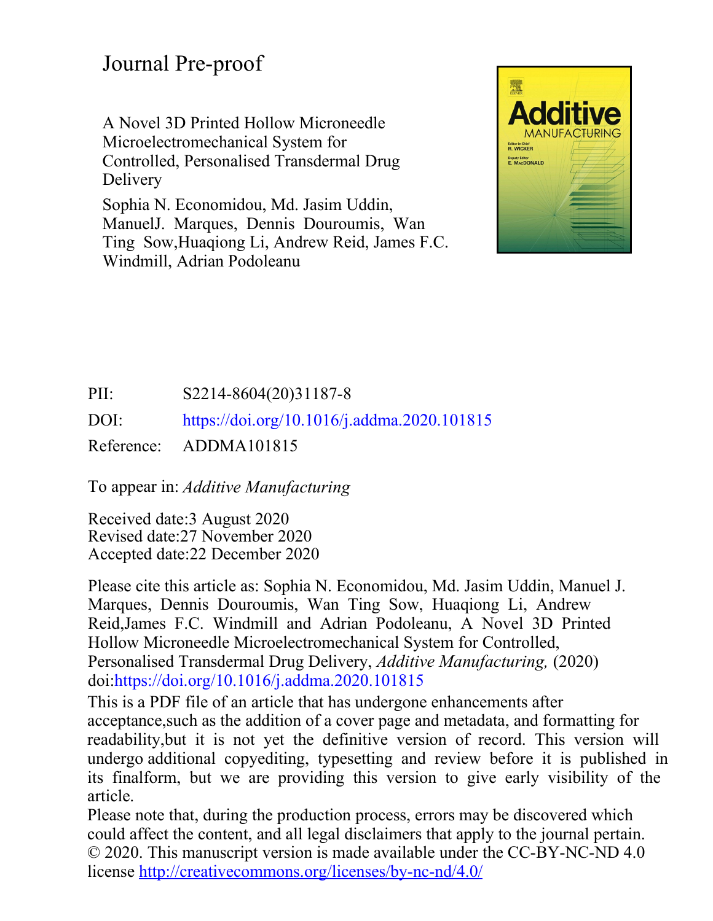## Journal Pre-proof

A Novel 3D Printed Hollow Microneedle Microelectromechanical System for Controlled, Personalised Transdermal Drug Delivery

Sophia N. Economidou, Md. Jasim Uddin, ManuelJ. Marques, Dennis Douroumis, Wan Ting Sow,Huaqiong Li, Andrew Reid, James F.C. Windmill, Adrian Podoleanu



## PII: S2214-8604(20)31187-8 DOI: https://doi.org/10.1016/j.addma.2020.101815 Reference: ADDMA101815

To appear in: *Additive Manufacturing*

Received date:3 August 2020 Accepted date:22 December 2020 Revised date:27 November 2020

Please cite this article as: Sophia N. Economidou, Md. Jasim Uddin, Manuel J. Marques, Dennis Douroumis, Wan Ting Sow, Huaqiong Li, Andrew Reid,James F.C. Windmill and Adrian Podoleanu, A Novel 3D Printed Hollow Microneedle Microelectromechanical System for Controlled, Personalised Transdermal Drug Delivery, *Additive Manufacturing,* (2020) doi:https://doi.org/10.1016/j.addma.2020.101815

This is a PDF file of an article that has undergone enhancements after acceptance,such as the addition of a cover page and metadata, and formatting for readability,but it is not yet the definitive version of record. This version will undergo additional copyediting, typesetting and review before it is published in its finalform, but we are providing this version to give early visibility of the article.

Please note that, during the production process, errors may be discovered which could affect the content, and all legal disclaimers that apply to the journal pertain. © 2020. This manuscript version is made available under the CC-BY-NC-ND 4.0 license<http://creativecommons.org/licenses/by-nc-nd/4.0/>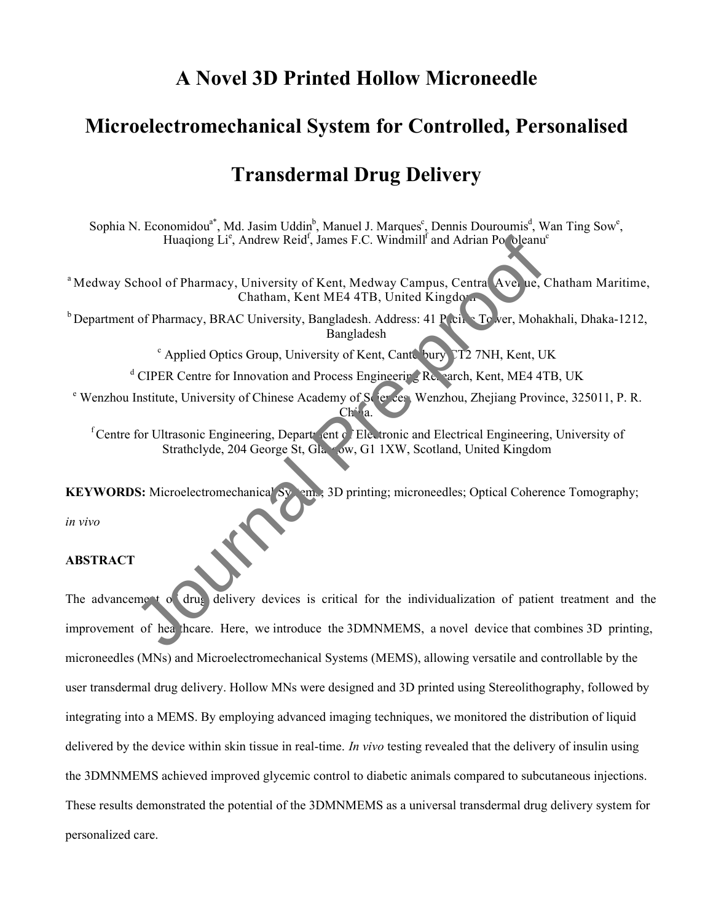## **A Novel 3D Printed Hollow Microneedle**

## **Microelectromechanical System for Controlled, Personalised**

## **Transdermal Drug Delivery**

Sophia N. Economidou<sup>a\*</sup>, Md. Jasim Uddin<sup>b</sup>, Manuel J. Marques<sup>c</sup>, Dennis Douroumis<sup>d</sup>, Wan Ting Sow<sup>e</sup>, Huaqiong Li<sup>e</sup>, Andrew Reid<sup>f</sup>, James F.C. Windmill<sup>f</sup> and Adrian Po oleanu<sup>e</sup>

<sup>a</sup> Medway School of Pharmacy, University of Kent, Medway Campus, Central Avenue, Chatham Maritime, Chatham, Kent ME4 4TB, United Kingdom

 $b$  Department of Pharmacy, BRAC University, Bangladesh. Address: 41 Pacific Tower, Mohakhali, Dhaka-1212, Bangladesh

 $\degree$  Applied Optics Group, University of Kent, Canterbury CT2 7NH, Kent, UK

<sup>d</sup> CIPER Centre for Innovation and Process Engineering Research, Kent, ME4 4TB, UK

<sup>e</sup> Wenzhou Institute, University of Chinese Academy of Sciences, Wenzhou, Zhejiang Province, 325011, P. R. Ch<sup>i</sup>a.

 $f$ Centre for Ultrasonic Engineering, Department of Electronic and Electrical Engineering, University of Strathclyde, 204 George St, Glasgow, G1 1XW, Scotland, United Kingdom

**KEYWORDS:** Microelectromechanica<sup>l</sup> Systems, 3D printing; microneedles; Optical Coherence Tomography;

*in vivo* 

#### **ABSTRACT**

The advancement of drug delivery devices is critical for the individualization of patient treatment and the improvement of healthcare. Here, we introduce the 3DMNMEMS, a novel device that combines 3D printing, microneedles (MNs) and Microelectromechanical Systems (MEMS), allowing versatile and controllable by the user transdermal drug delivery. Hollow MNs were designed and 3D printed using Stereolithography, followed by integrating into a MEMS. By employing advanced imaging techniques, we monitored the distribution of liquid delivered by the device within skin tissue in real-time. *In vivo* testing revealed that the delivery of insulin using the 3DMNMEMS achieved improved glycemic control to diabetic animals compared to subcutaneous injections. These results demonstrated the potential of the 3DMNMEMS as a universal transdermal drug delivery system for personalized care. Huagiong Li<sup>s</sup>, Andrew Reid<sup>1</sup>; James F.C. Windmill<sup>1</sup> and Adrian Po oleanu'<br>
chool of Pharmacy, University of Kent, Medway Campus, Central Ave. uc.<br>
Chatham, Kent ME4 4TB, United Kingdor.<br>
is of Pharmacy, BRAC University,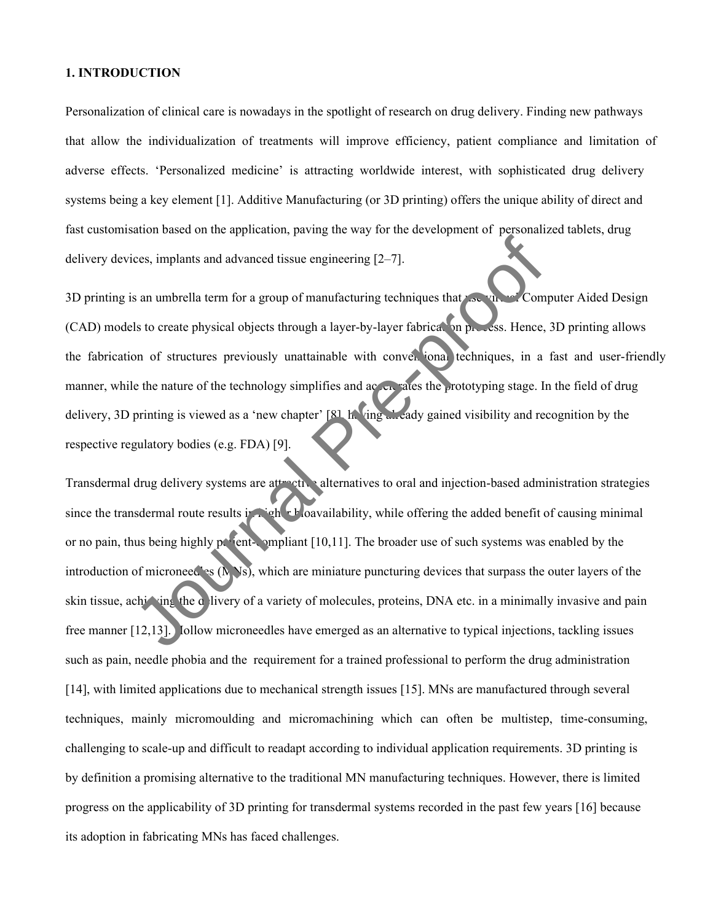#### **1. INTRODUCTION**

Personalization of clinical care is nowadays in the spotlight of research on drug delivery. Finding new pathways that allow the individualization of treatments will improve efficiency, patient compliance and limitation of adverse effects. 'Personalized medicine' is attracting worldwide interest, with sophisticated drug delivery systems being a key element [1]. Additive Manufacturing (or 3D printing) offers the unique ability of direct and fast customisation based on the application, paving the way for the development of personalized tablets, drug delivery devices, implants and advanced tissue engineering [2–7].

3D printing is an umbrella term for a group of manufacturing techniques that  $\lambda$ se virtual Computer Aided Design (CAD) models to create physical objects through a layer-by-layer fabrication process. Hence, 3D printing allows the fabrication of structures previously unattainable with conventional techniques, in a fast and user-friendly manner, while the nature of the technology simplifies and accelerates the prototyping stage. In the field of drug delivery, 3D printing is viewed as a 'new chapter' [8], having already gained visibility and recognition by the respective regulatory bodies (e.g. FDA) [9].

Transdermal drug delivery systems are attractive alternatives to oral and injection-based administration strategies since the transdermal route results in higher bioavailability, while offering the added benefit of causing minimal or no pain, thus being highly patient-compliant  $[10,11]$ . The broader use of such systems was enabled by the introduction of microneed as  $(NN_s)$ , which are miniature puncturing devices that surpass the outer layers of the skin tissue, achieving the delivery of a variety of molecules, proteins, DNA etc. in a minimally invasive and pain free manner [12,13]. Jollow microneedles have emerged as an alternative to typical injections, tackling issues such as pain, needle phobia and the requirement for a trained professional to perform the drug administration [14], with limited applications due to mechanical strength issues [15]. MNs are manufactured through several techniques, mainly micromoulding and micromachining which can often be multistep, time-consuming, challenging to scale-up and difficult to readapt according to individual application requirements. 3D printing is by definition a promising alternative to the traditional MN manufacturing techniques. However, there is limited progress on the applicability of 3D printing for transdermal systems recorded in the past few years [16] because its adoption in fabricating MNs has faced challenges. ees, implants and advanced issue engineering [2-7].<br>
So an umbrella term for a group of manufacturing techniques that<br>
Is to create physical objects through a layer-by-layer fabrication process. Hence,<br>
on of structures pr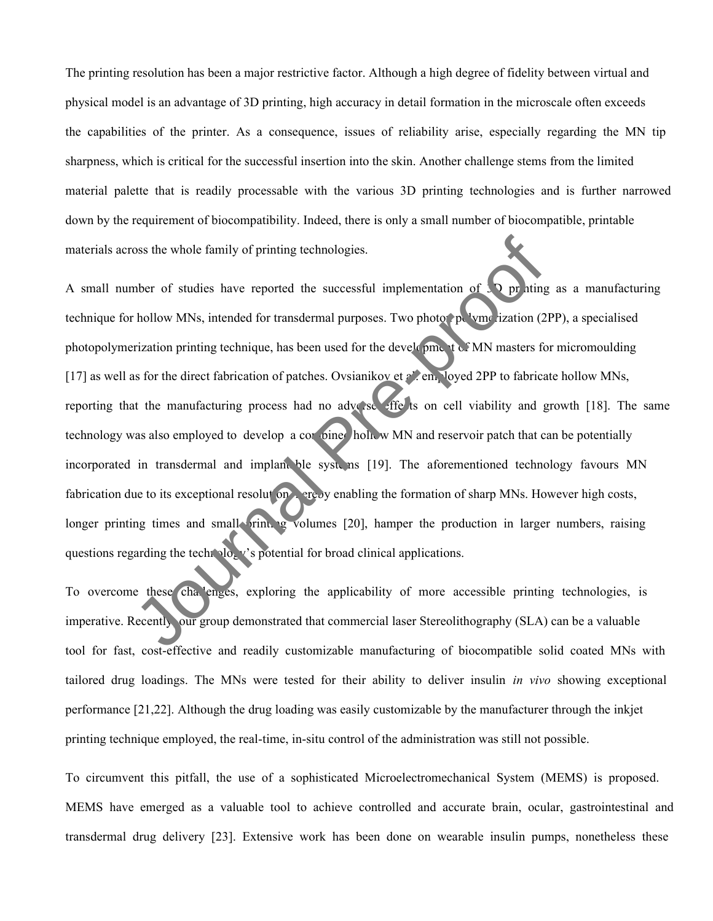The printing resolution has been a major restrictive factor. Although a high degree of fidelity between virtual and physical model is an advantage of 3D printing, high accuracy in detail formation in the microscale often exceeds the capabilities of the printer. As a consequence, issues of reliability arise, especially regarding the MN tip sharpness, which is critical for the successful insertion into the skin. Another challenge stems from the limited material palette that is readily processable with the various 3D printing technologies and is further narrowed down by the requirement of biocompatibility. Indeed, there is only a small number of biocompatible, printable materials across the whole family of printing technologies.

A small number of studies have reported the successful implementation of  $\overline{3}$  pr iting as a manufacturing technique for hollow MNs, intended for transdermal purposes. Two photon polymerization (2PP), a specialised photopolymerization printing technique, has been used for the development of MN masters for micromoulding [17] as well as for the direct fabrication of patches. Ovsianikov et al. em. loyed 2PP to fabricate hollow MNs, reporting that the manufacturing process had no adverse effects on cell viability and growth [18]. The same technology was also employed to develop a combined hollow MN and reservoir patch that can be potentially incorporated in transdermal and implant ble systems [19]. The aforementioned technology favours MN fabrication due to its exceptional resolution, ereby enabling the formation of sharp MNs. However high costs, longer printing times and small printing volumes [20], hamper the production in larger numbers, raising questions regarding the technology's potential for broad clinical applications. oss the whole family of printing technologies.<br>
Mober of studies have reported the successful implementation of the bridge<br>
Hollow MNs, intended for transdermal purposes. Two photo to keep ization (2<br>
mization printing tec

To overcome these cha enges, exploring the applicability of more accessible printing technologies, is imperative. Recently, our group demonstrated that commercial laser Stereolithography (SLA) can be a valuable tool for fast, cost-effective and readily customizable manufacturing of biocompatible solid coated MNs with tailored drug loadings. The MNs were tested for their ability to deliver insulin *in vivo* showing exceptional performance [21,22]. Although the drug loading was easily customizable by the manufacturer through the inkjet printing technique employed, the real-time, in-situ control of the administration was still not possible.

To circumvent this pitfall, the use of a sophisticated Microelectromechanical System (MEMS) is proposed. MEMS have emerged as a valuable tool to achieve controlled and accurate brain, ocular, gastrointestinal and transdermal drug delivery [23]. Extensive work has been done on wearable insulin pumps, nonetheless these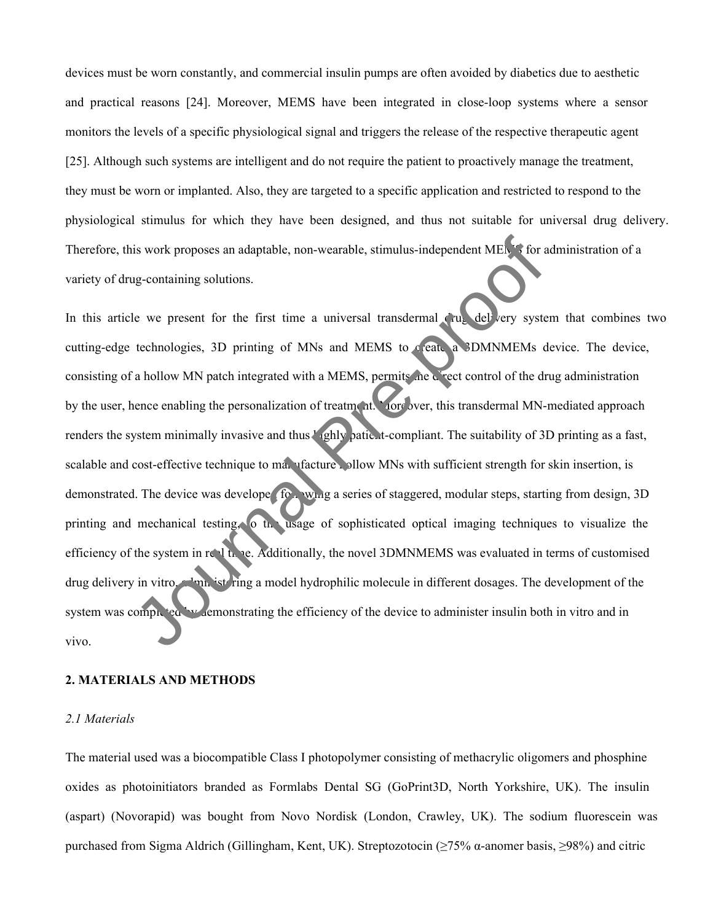devices must be worn constantly, and commercial insulin pumps are often avoided by diabetics due to aesthetic and practical reasons [24]. Moreover, MEMS have been integrated in close-loop systems where a sensor monitors the levels of a specific physiological signal and triggers the release of the respective therapeutic agent [25]. Although such systems are intelligent and do not require the patient to proactively manage the treatment, they must be worn or implanted. Also, they are targeted to a specific application and restricted to respond to the physiological stimulus for which they have been designed, and thus not suitable for universal drug delivery. Therefore, this work proposes an adaptable, non-wearable, stimulus-independent MEMS for administration of a variety of drug-containing solutions.

In this article we present for the first time a universal transdermal drug delivery system that combines two cutting-edge technologies, 3D printing of MNs and MEMS to create a 3DMNMEMs device. The device, consisting of a hollow MN patch integrated with a MEMS, permits the direct control of the drug administration by the user, hence enabling the personalization of treatment. Moreover, this transdermal MN-mediated approach renders the system minimally invasive and thus *l* (ghly patient-compliant. The suitability of 3D printing as a fast, scalable and cost-effective technique to manufacture hollow MNs with sufficient strength for skin insertion, is demonstrated. The device was developed following a series of staggered, modular steps, starting from design, 3D printing and mechanical testing, to the usage of sophisticated optical imaging techniques to visualize the efficiency of the system in real time. Additionally, the novel 3DMNMEMS was evaluated in terms of customised drug delivery in vitro, administering a model hydrophilic molecule in different dosages. The development of the system was completed by demonstrating the efficiency of the device to administer insulin both in vitro and in vivo. is work proposes an adaptable, non-wearable, stimulus-independent MEM for a<br>g-containing solutions.<br>Le we present for the first time a universal transdermal cut delivery systemetric<br>direct of the first time a universal tra

#### **2. MATERIALS AND METHODS**

#### *2.1 Materials*

The material used was a biocompatible Class I photopolymer consisting of methacrylic oligomers and phosphine oxides as photoinitiators branded as Formlabs Dental SG (GoPrint3D, North Yorkshire, UK). The insulin (aspart) (Novorapid) was bought from Novo Nordisk (London, Crawley, UK). The sodium fluorescein was purchased from Sigma Aldrich (Gillingham, Kent, UK). Streptozotocin (≥75% α-anomer basis, ≥98%) and citric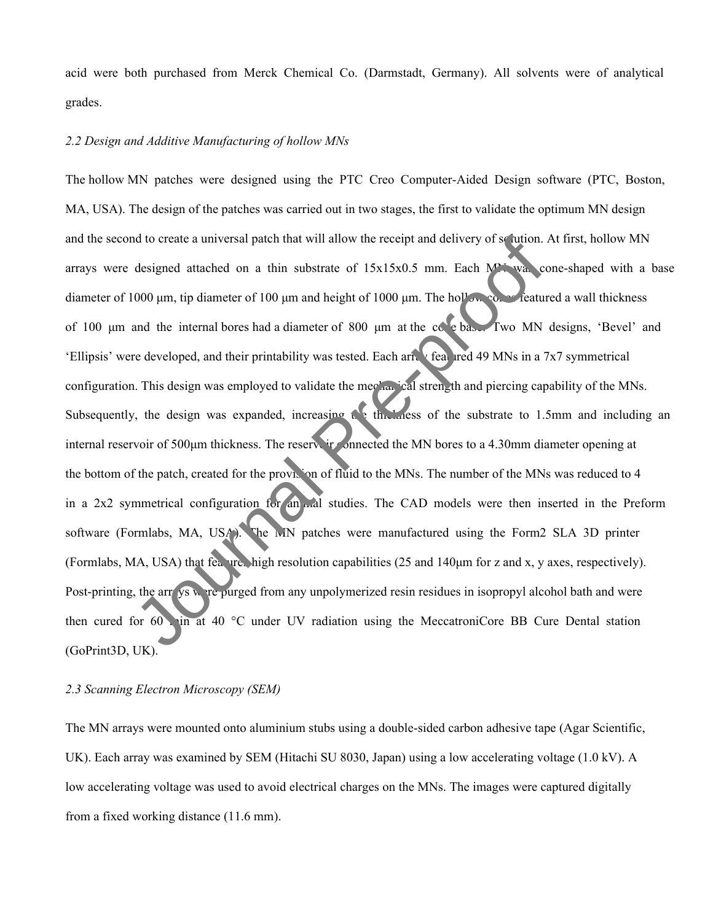acid were both purchased from Merck Chemical Co. (Darmstadt, Germany). All solvents were of analytical grades.

#### *2.2 Design and Additive Manufacturing of hollow MNs*

The hollow MN patches were designed using the PTC Creo Computer-Aided Design software (PTC, Boston, MA, USA). The design of the patches was carried out in two stages, the first to validate the optimum MN design and the second to create a universal patch that will allow the receipt and delivery of solution. At first, hollow MN arrays were designed attached on a thin substrate of  $15x15x0.5$  mm. Each MN was cone-shaped with a base diameter of 1000 μm, tip diameter of 100 μm and height of 1000 μm. The hollow cones featured a wall thickness of 100 μm and the internal bores had a diameter of 800 μm at the cone base. Two MN designs, 'Bevel' and 'Ellipsis' were developed, and their printability was tested. Each array featured 49 MNs in a 7x7 symmetrical configuration. This design was employed to validate the mechanical strength and piercing capability of the MNs. Subsequently, the design was expanded, increasing the thickness of the substrate to 1.5mm and including an internal reservoir of 500μm thickness. The reservoir connected the MN bores to a 4.30mm diameter opening at the bottom of the patch, created for the provision of fluid to the MNs. The number of the MNs was reduced to 4 in a 2x2 symmetrical configuration for an mal studies. The CAD models were then inserted in the Preform software (Formlabs, MA, USA). The MN patches were manufactured using the Form2 SLA 3D printer (Formlabs, MA, USA) that features high resolution capabilities (25 and 140μm for z and x, y axes, respectively). Post-printing, the arrays were purged from any unpolymerized resin residues in isopropyl alcohol bath and were then cured for  $60$  in at  $40$  °C under UV radiation using the MeccatroniCore BB Cure Dental station (GoPrint3D, UK). of the cata a universal patch that will allow the receipt and delivery of se ution.<br>
designed attached on a thin substrate of 15x15x0.5 mm. Each Maximum designed attached on a thin substrate of 1000 µm. The hollows Concen

#### *2.3 Scanning Electron Microscopy (SEM)*

The MN arrays were mounted onto aluminium stubs using a double-sided carbon adhesive tape (Agar Scientific, UK). Each array was examined by SEM (Hitachi SU 8030, Japan) using a low accelerating voltage (1.0 kV). A low accelerating voltage was used to avoid electrical charges on the MNs. The images were captured digitally from a fixed working distance (11.6 mm).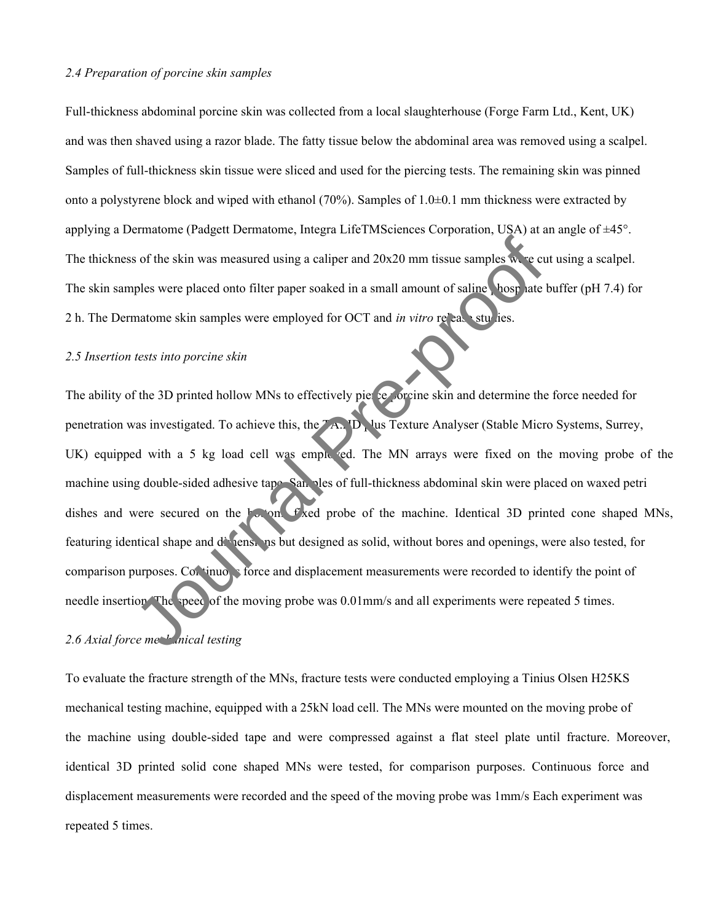#### *2.4 Preparation of porcine skin samples*

Full-thickness abdominal porcine skin was collected from a local slaughterhouse (Forge Farm Ltd., Kent, UK) and was then shaved using a razor blade. The fatty tissue below the abdominal area was removed using a scalpel. Samples of full-thickness skin tissue were sliced and used for the piercing tests. The remaining skin was pinned onto a polystyrene block and wiped with ethanol (70%). Samples of 1.0±0.1 mm thickness were extracted by applying a Dermatome (Padgett Dermatome, Integra LifeTMSciences Corporation, USA) at an angle of ±45°. The thickness of the skin was measured using a caliper and  $20x20$  mm tissue samples were cut using a scalpel. The skin samples were placed onto filter paper soaked in a small amount of saline bosp late buffer (pH 7.4) for 2 h. The Dermatome skin samples were employed for OCT and *in vitro* release studies.

#### *2.5 Insertion tests into porcine skin*

The ability of the 3D printed hollow MNs to effectively pierce forcine skin and determine the force needed for penetration was investigated. To achieve this, the  $TA$ . ID, lus Texture Analyser (Stable Micro Systems, Surrey, UK) equipped with a 5 kg load cell was employed. The MN arrays were fixed on the moving probe of the machine using double-sided adhesive tape. Samples of full-thickness abdominal skin were placed on waxed petri dishes and were secured on the  $\frac{1}{2}$  on,  $\frac{1}{2}$  fixed probe of the machine. Identical 3D printed cone shaped MNs, featuring identical shape and dimensions but designed as solid, without bores and openings, were also tested, for comparison purposes. Continuous force and displacement measurements were recorded to identify the point of needle insertion. The speed of the moving probe was 0.01mm/s and all experiments were repeated 5 times. So the skin was measured using a caliper and 20x20 mm tissue samples we explose were placed onto filter paper soaked in a small amount of saline. Most are explosed in a small amount of saline. Nost alternation eskin sampl

#### 2.6 Axial force mechanical testing

To evaluate the fracture strength of the MNs, fracture tests were conducted employing a Tinius Olsen H25KS mechanical testing machine, equipped with a 25kN load cell. The MNs were mounted on the moving probe of the machine using double-sided tape and were compressed against a flat steel plate until fracture. Moreover, identical 3D printed solid cone shaped MNs were tested, for comparison purposes. Continuous force and displacement measurements were recorded and the speed of the moving probe was 1mm/s Each experiment was repeated 5 times.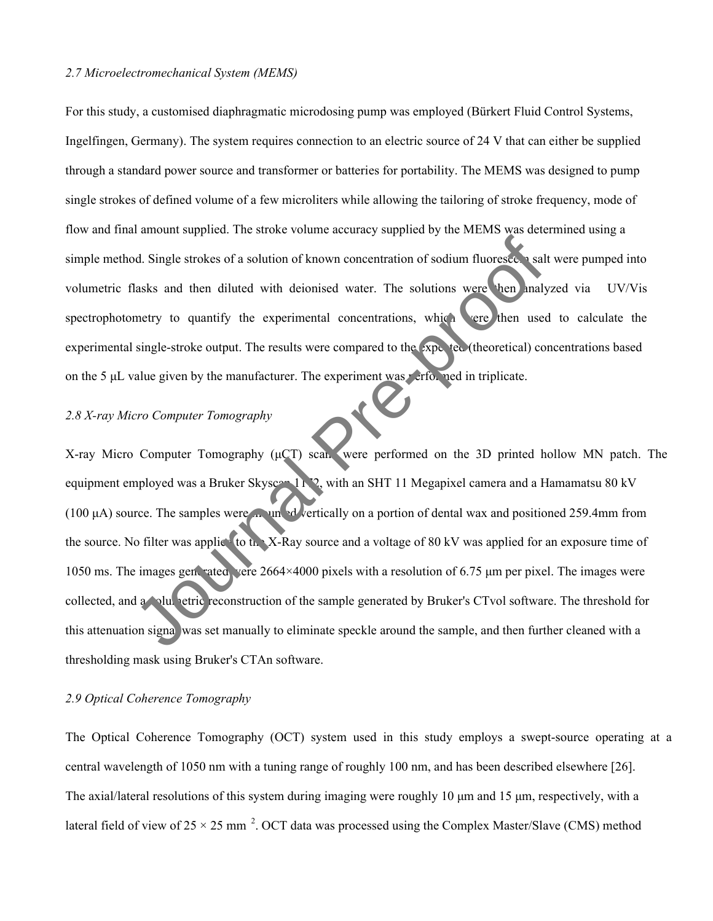#### *2.7 Microelectromechanical System (MEMS)*

For this study, a customised diaphragmatic microdosing pump was employed (Bürkert Fluid Control Systems, Ingelfingen, Germany). The system requires connection to an electric source of 24 V that can either be supplied through a standard power source and transformer or batteries for portability. The MEMS was designed to pump single strokes of defined volume of a few microliters while allowing the tailoring of stroke frequency, mode of flow and final amount supplied. The stroke volume accuracy supplied by the MEMS was determined using a simple method. Single strokes of a solution of known concentration of sodium fluorescein salt were pumped into volumetric flasks and then diluted with deionised water. The solutions were then analyzed via UV/Vis spectrophotometry to quantify the experimental concentrations, which were then used to calculate the experimental single-stroke output. The results were compared to the  $\exp(-\text{teC})$  (theoretical) concentrations based on the 5  $\mu$ L value given by the manufacturer. The experiment was performed in triplicate.

#### *2.8 X-ray Micro Computer Tomography*

X-ray Micro Computer Tomography (μCT) scans were performed on the 3D printed hollow MN patch. The equipment employed was a Bruker Skyscan 1172, with an SHT 11 Megapixel camera and a Hamamatsu 80 kV (100 μA) source. The samples were mounted vertically on a portion of dental wax and positioned 259.4mm from the source. No filter was applice to the X-Ray source and a voltage of 80 kV was applied for an exposure time of 1050 ms. The images generated vere  $2664\times4000$  pixels with a resolution of 6.75  $\mu$ m per pixel. The images were collected, and a volumetric reconstruction of the sample generated by Bruker's CTvol software. The threshold for this attenuation signal was set manually to eliminate speckle around the sample, and then further cleaned with a thresholding mask using Bruker's CTAn software. Branch Computer Tomography<br>
Journal Pre-properties and then diluted with decionised water. The solutions were then maly<br>
metry to quantify the experimental concentrations, which there then maly<br>
single-stroke output. The r

#### *2.9 Optical Coherence Tomography*

The Optical Coherence Tomography (OCT) system used in this study employs a swept-source operating at a central wavelength of 1050 nm with a tuning range of roughly 100 nm, and has been described elsewhere [26]. The axial/lateral resolutions of this system during imaging were roughly 10 μm and 15 μm, respectively, with a lateral field of view of 25  $\times$  25 mm<sup>2</sup>. OCT data was processed using the Complex Master/Slave (CMS) method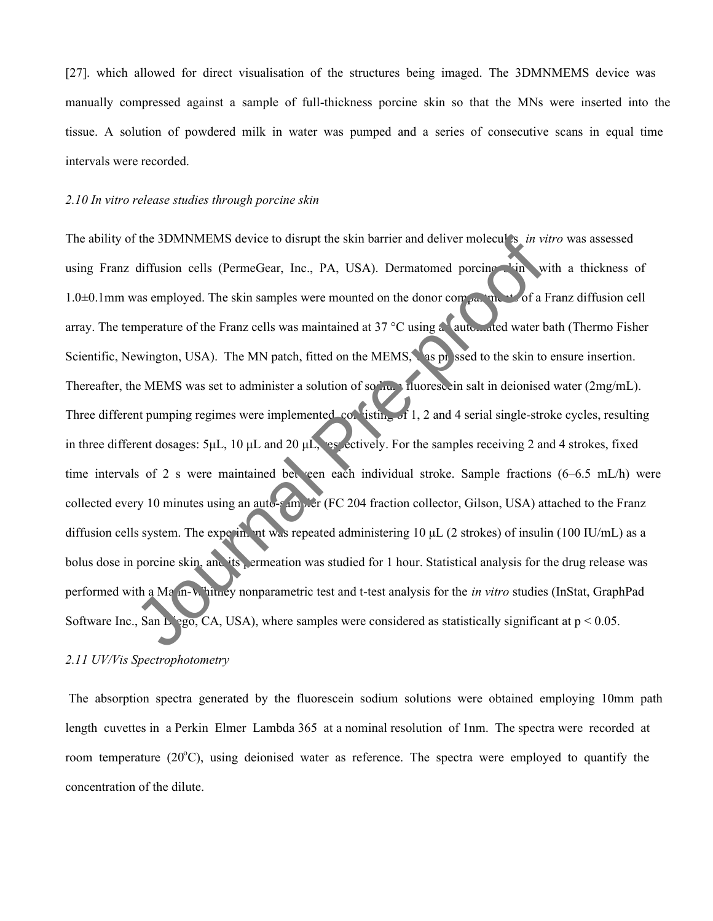[27]. which allowed for direct visualisation of the structures being imaged. The 3DMNMEMS device was manually compressed against a sample of full-thickness porcine skin so that the MNs were inserted into the tissue. A solution of powdered milk in water was pumped and a series of consecutive scans in equal time intervals were recorded.

#### *2.10 In vitro release studies through porcine skin*

The ability of the 3DMNMEMS device to disrupt the skin barrier and deliver molecules *in vitro* was assessed using Franz diffusion cells (PermeGear, Inc., PA, USA). Dermatomed porcine skin with a thickness of 1.0 $\pm$ 0.1mm was employed. The skin samples were mounted on the donor compartments of a Franz diffusion cell array. The temperature of the Franz cells was maintained at 37 °C using a automated water bath (Thermo Fisher Scientific, Newington, USA). The MN patch, fitted on the MEMS, as pressed to the skin to ensure insertion. Thereafter, the MEMS was set to administer a solution of sodium fluorescein salt in deionised water (2mg/mL). Three different pumping regimes were implemented, consisting of 1, 2 and 4 serial single-stroke cycles, resulting in three different dosages:  $5\mu$ L,  $10 \mu$ L and  $20 \mu$ L, respectively. For the samples receiving 2 and 4 strokes, fixed time intervals of 2 s were maintained bet een each individual stroke. Sample fractions (6–6.5 mL/h) were collected every 10 minutes using an auto-sampler (FC 204 fraction collector, Gilson, USA) attached to the Franz diffusion cells system. The experiment was repeated administering 10 μL (2 strokes) of insulin (100 IU/mL) as a bolus dose in porcine skin, and its permeation was studied for 1 hour. Statistical analysis for the drug release was performed with a Ma<sub>nn-Whitney nonparametric test and t-test analysis for the *in vitro* studies (InStat, GraphPad</sub> Software Inc., San Liego, CA, USA), where samples were considered as statistically significant at  $p < 0.05$ . The 3DMNMEMS device to disrupt the skin barrier and deliver molecules in vi<br>diffusion cells (PermeGear, Inc., PA, USA). Dermatomed porcine<br>was employed. The skin samples were mounted on the donor comparing of a lapperatur

#### *2.11 UV/Vis Spectrophotometry*

The absorption spectra generated by the fluorescein sodium solutions were obtained employing 10mm path length cuvettes in a Perkin Elmer Lambda 365 at a nominal resolution of 1nm. The spectra were recorded at room temperature  $(20^{\circ}C)$ , using deionised water as reference. The spectra were employed to quantify the concentration of the dilute.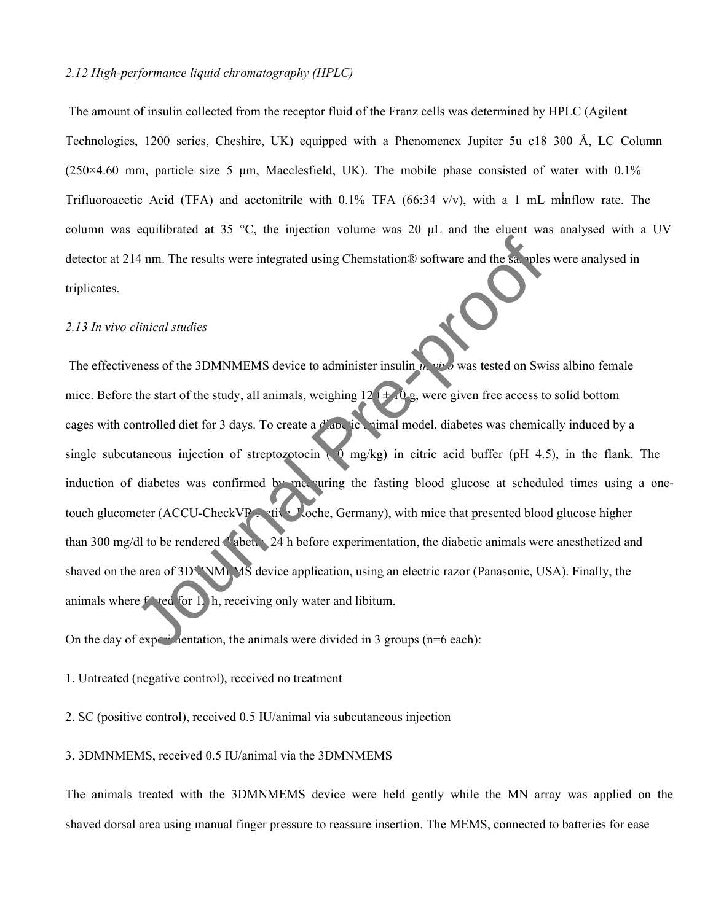#### *2.12 High-performance liquid chromatography (HPLC)*

The amount of insulin collected from the receptor fluid of the Franz cells was determined by HPLC (Agilent Technologies, 1200 series, Cheshire, UK) equipped with a Phenomenex Jupiter 5u c18 300 Å, LC Column  $(250\times4.60$  mm, particle size 5 µm, Macclesfield, UK). The mobile phase consisted of water with 0.1% Trifluoroacetic Acid (TFA) and acetonitrile with 0.1% TFA (66:34 v/v), with a 1 mL minflow rate. The column was equilibrated at 35 °C, the injection volume was 20  $\mu$ L and the eluent was analysed with a UV detector at 214 nm. The results were integrated using Chemstation® software and the samples were analysed in triplicates.

#### *2.13 In vivo clinical studies*

The effectiveness of the 3DMNMEMS device to administer insulin *in vivo* was tested on Swiss albino female mice. Before the start of the study, all animals, weighing  $12 + 10$  g, were given free access to solid bottom cages with controlled diet for 3 days. To create a diabetic animal model, diabetes was chemically induced by a single subcutaneous injection of streptozotocin ( $\sqrt{9}$  mg/kg) in citric acid buffer (pH 4.5), in the flank. The induction of diabetes was confirmed by measuring the fasting blood glucose at scheduled times using a onetouch glucometer (ACCU-CheckVR Active, Joche, Germany), with mice that presented blood glucose higher than 300 mg/dl to be rendered diabetic. 24 h before experimentation, the diabetic animals were anesthetized and shaved on the area of 3DNNMEMS device application, using an electric razor (Panasonic, USA). Finally, the animals where  $f$  ted for 1. h, receiving only water and libitum. 4 nm. The results were integrated using Chemstation® software and the samples<br>
<br>
Linical studies<br>
<br>
Linical studies<br>
<br>
Linical studies<br>
<br>
<br>
Similar Presences of the 3DMNMEMS device to administer insuling<br>
<br>
<br>

The start o

On the day of experimentation, the animals were divided in 3 groups ( $n=6$  each):

1. Untreated (negative control), received no treatment

2. SC (positive control), received 0.5 IU/animal via subcutaneous injection

3. 3DMNMEMS, received 0.5 IU/animal via the 3DMNMEMS

The animals treated with the 3DMNMEMS device were held gently while the MN array was applied on the shaved dorsal area using manual finger pressure to reassure insertion. The MEMS, connected to batteries for ease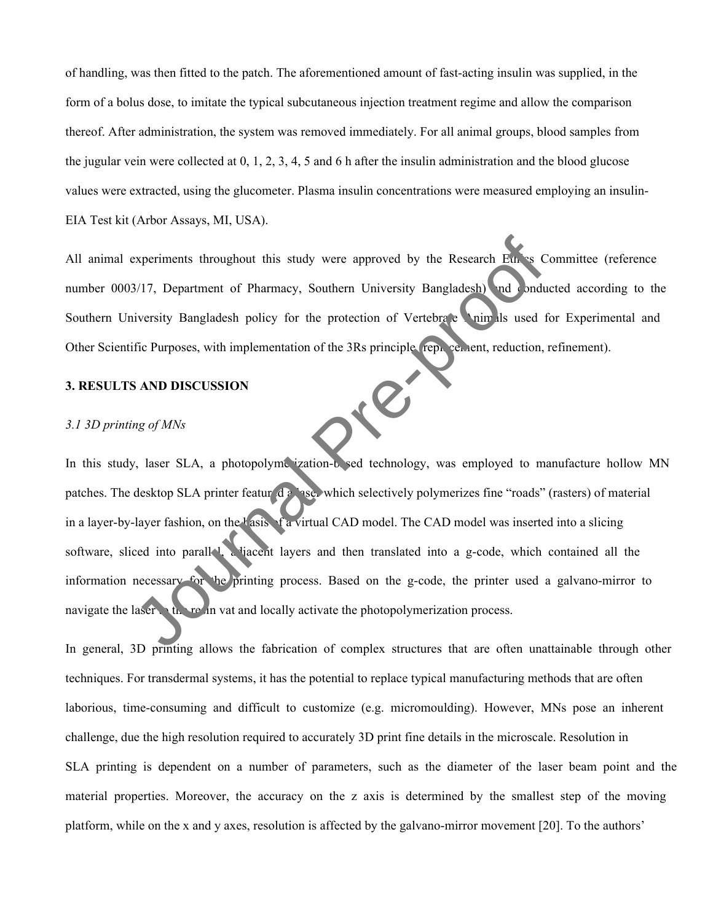of handling, was then fitted to the patch. The aforementioned amount of fast-acting insulin was supplied, in the form of a bolus dose, to imitate the typical subcutaneous injection treatment regime and allow the comparison thereof. After administration, the system was removed immediately. For all animal groups, blood samples from the jugular vein were collected at 0, 1, 2, 3, 4, 5 and 6 h after the insulin administration and the blood glucose values were extracted, using the glucometer. Plasma insulin concentrations were measured employing an insulin-EIA Test kit (Arbor Assays, MI, USA).

All animal experiments throughout this study were approved by the Research Ethics Committee (reference number 0003/17, Department of Pharmacy, Southern University Bangladesh) and conducted according to the Southern University Bangladesh policy for the protection of Vertebrate Animals used for Experimental and Other Scientific Purposes, with implementation of the 3Rs principle (replacement, reduction, refinement).

#### **3. RESULTS AND DISCUSSION**

#### *3.1 3D printing of MNs*

In this study, laser SLA, a photopolyme ization-based technology, was employed to manufacture hollow MN patches. The desktop SLA printer featur da lase, which selectively polymerizes fine "roads" (rasters) of material in a layer-by-layer fashion, on the  $\frac{1}{4}$  asis  $\frac{1}{4}$  virtual CAD model. The CAD model was inserted into a slicing software, sliced into parallel, a liacent layers and then translated into a g-code, which contained all the information necessary for the printing process. Based on the g-code, the printer used a galvano-mirror to navigate the laser the resin vat and locally activate the photopolymerization process. Experiments throughout this study were approved by the Research Em<sup>3</sup> C<br>
S/17, Department of Pharmacy, Southern University Bangladesh and<br>
inversity Bangladesh policy for the protection of Vertebrate Chim IIs used 1<br>
fic P

In general, 3D printing allows the fabrication of complex structures that are often unattainable through other techniques. For transdermal systems, it has the potential to replace typical manufacturing methods that are often laborious, time-consuming and difficult to customize (e.g. micromoulding). However, MNs pose an inherent challenge, due the high resolution required to accurately 3D print fine details in the microscale. Resolution in SLA printing is dependent on a number of parameters, such as the diameter of the laser beam point and the material properties. Moreover, the accuracy on the z axis is determined by the smallest step of the moving platform, while on the x and y axes, resolution is affected by the galvano-mirror movement [20]. To the authors'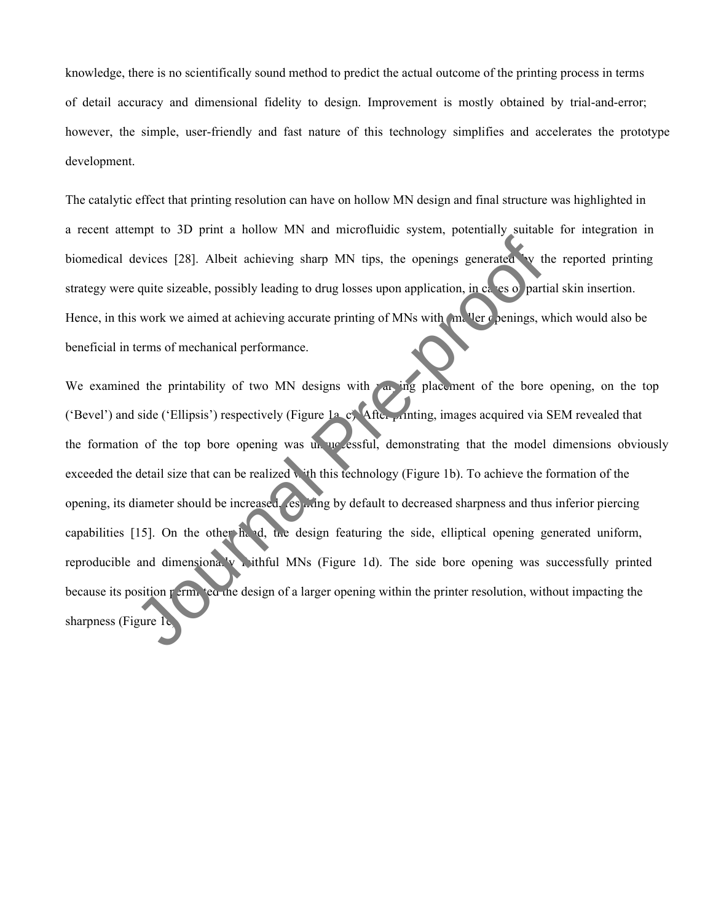knowledge, there is no scientifically sound method to predict the actual outcome of the printing process in terms of detail accuracy and dimensional fidelity to design. Improvement is mostly obtained by trial-and-error; however, the simple, user-friendly and fast nature of this technology simplifies and accelerates the prototype development.

The catalytic effect that printing resolution can have on hollow MN design and final structure was highlighted in a recent attempt to 3D print a hollow MN and microfluidic system, potentially suitable for integration in biomedical devices [28]. Albeit achieving sharp MN tips, the openings generated by the reported printing strategy were quite sizeable, possibly leading to drug losses upon application, in  $c_4$  es of partial skin insertion. Hence, in this work we aimed at achieving accurate printing of MNs with  $\sum_{n=1}^{\infty}$  lerg openings, which would also be beneficial in terms of mechanical performance.

We examined the printability of two MN designs with  $\chi$  ing placement of the bore opening, on the top ('Bevel') and side ('Ellipsis') respectively (Figure 1a, c). After printing, images acquired via SEM revealed that the formation of the top bore opening was un uccessful, demonstrating that the model dimensions obviously exceeded the detail size that can be realized with this technology (Figure 1b). To achieve the formation of the opening, its diameter should be increased, resulting by default to decreased sharpness and thus inferior piercing capabilities [15]. On the other hand, the design featuring the side, elliptical opening generated uniform, reproducible and dimensionally withful MNs (Figure 1d). The side bore opening was successfully printed because its position  $p = r m$ , eq. the design of a larger opening within the printer resolution, without impacting the biomedical devices [28]. Albeit achieving sharp MN tips, the openings generated we strategy were quite sizeable, possibly leading to drug losses upon application, in ease o part<br>Hence, in this work we aimed at achieving a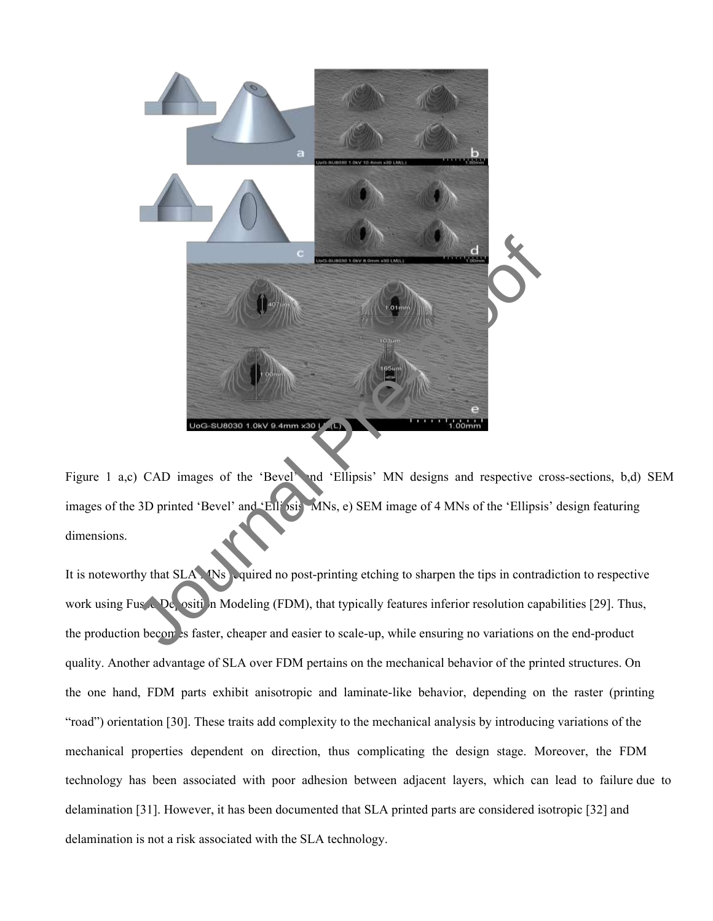

Figure 1 a,c) CAD images of the 'Bevel' and 'Ellipsis' MN designs and respective cross-sections, b,d) SEM images of the 3D printed 'Bevel' and 'Ellipsis' MNs, e) SEM image of 4 MNs of the 'Ellipsis' design featuring dimensions.

It is noteworthy that SLA. Ws required no post-printing etching to sharpen the tips in contradiction to respective work using Fused Deposition Modeling (FDM), that typically features inferior resolution capabilities [29]. Thus, the production becomes faster, cheaper and easier to scale-up, while ensuring no variations on the end-product quality. Another advantage of SLA over FDM pertains on the mechanical behavior of the printed structures. On the one hand, FDM parts exhibit anisotropic and laminate-like behavior, depending on the raster (printing "road") orientation [30]. These traits add complexity to the mechanical analysis by introducing variations of the mechanical properties dependent on direction, thus complicating the design stage. Moreover, the FDM technology has been associated with poor adhesion between adjacent layers, which can lead to failure due to delamination [31]. However, it has been documented that SLA printed parts are considered isotropic [32] and delamination is not a risk associated with the SLA technology.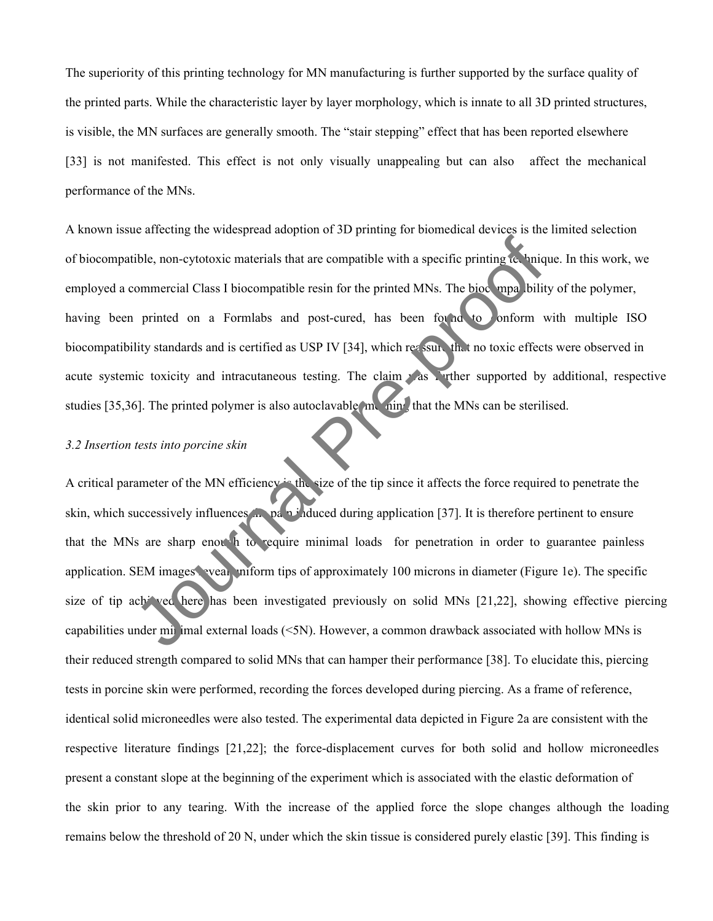The superiority of this printing technology for MN manufacturing is further supported by the surface quality of the printed parts. While the characteristic layer by layer morphology, which is innate to all 3D printed structures, is visible, the MN surfaces are generally smooth. The "stair stepping" effect that has been reported elsewhere [33] is not manifested. This effect is not only visually unappealing but can also affect the mechanical performance of the MNs.

A known issue affecting the widespread adoption of 3D printing for biomedical devices is the limited selection of biocompatible, non-cytotoxic materials that are compatible with a specific printing technique. In this work, we employed a commercial Class I biocompatible resin for the printed MNs. The biocompatibility of the polymer, having been printed on a Formlabs and post-cured, has been found to conform with multiple ISO biocompatibility standards and is certified as USP IV [34], which reassure that no toxic effects were observed in acute systemic toxicity and intracutaneous testing. The claim was wrther supported by additional, respective studies [35,36]. The printed polymer is also autoclavable meaning that the MNs can be sterilised. ible, non-cytotoxic materials that are compatible with a specific printing to uniq<br>commercial Class I biocompatible resin for the printed MNs. The biocompatibility<br>printed on a Formlabs and post-cured, has been found to on

#### *3.2 Insertion tests into porcine skin*

A critical parameter of the MN efficiency is the size of the tip since it affects the force required to penetrate the skin, which successively influences the pair induced during application [37]. It is therefore pertinent to ensure that the MNs are sharp enough to require minimal loads for penetration in order to guarantee painless application. SEM images weal uniform tips of approximately 100 microns in diameter (Figure 1e). The specific size of tip achieved here has been investigated previously on solid MNs [21,22], showing effective piercing capabilities under  $\overline{m}$  imal external loads ( $\leq$ 5N). However, a common drawback associated with hollow MNs is their reduced strength compared to solid MNs that can hamper their performance [38]. To elucidate this, piercing tests in porcine skin were performed, recording the forces developed during piercing. As a frame of reference, identical solid microneedles were also tested. The experimental data depicted in Figure 2a are consistent with the respective literature findings [21,22]; the force-displacement curves for both solid and hollow microneedles present a constant slope at the beginning of the experiment which is associated with the elastic deformation of the skin prior to any tearing. With the increase of the applied force the slope changes although the loading remains below the threshold of 20 N, under which the skin tissue is considered purely elastic [39]. This finding is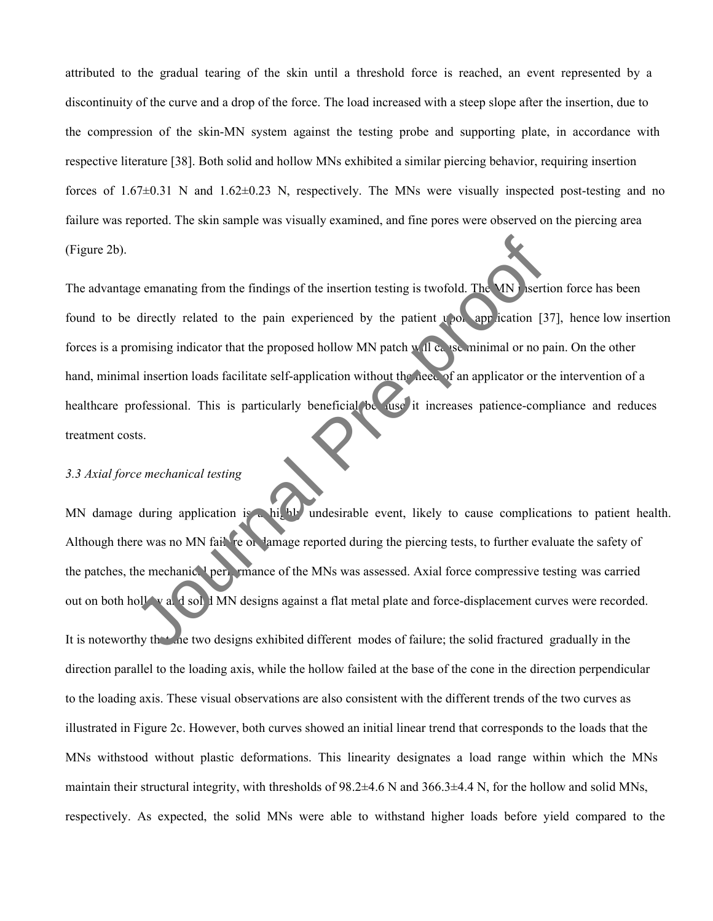attributed to the gradual tearing of the skin until a threshold force is reached, an event represented by a discontinuity of the curve and a drop of the force. The load increased with a steep slope after the insertion, due to the compression of the skin-MN system against the testing probe and supporting plate, in accordance with respective literature [38]. Both solid and hollow MNs exhibited a similar piercing behavior, requiring insertion forces of 1.67±0.31 N and 1.62±0.23 N, respectively. The MNs were visually inspected post-testing and no failure was reported. The skin sample was visually examined, and fine pores were observed on the piercing area (Figure 2b).

The advantage emanating from the findings of the insertion testing is twofold. The MN is ertion force has been found to be directly related to the pain experienced by the patient upon application [37], hence low insertion forces is a promising indicator that the proposed hollow MN patch will cause minimal or no pain. On the other hand, minimal insertion loads facilitate self-application without the need of an applicator or the intervention of a healthcare professional. This is particularly beneficial because it increases patience-compliance and reduces treatment costs. Example the findings of the insertion testing is twofold. The MN sert<br>directly related to the pain experienced by the patient upod application [3<br>omising indicator that the proposed hollow MN patch villes, as minimal or no

#### *3.3 Axial force mechanical testing*

MN damage during application is a highly undesirable event, likely to cause complications to patient health. Although there was no MN failure or damage reported during the piercing tests, to further evaluate the safety of the patches, the mechanical performance of the MNs was assessed. Axial force compressive testing was carried out on both hollow and solid MN designs against a flat metal plate and force-displacement curves were recorded.

It is noteworthy that the two designs exhibited different modes of failure; the solid fractured gradually in the direction parallel to the loading axis, while the hollow failed at the base of the cone in the direction perpendicular to the loading axis. These visual observations are also consistent with the different trends of the two curves as illustrated in Figure 2c. However, both curves showed an initial linear trend that corresponds to the loads that the MNs withstood without plastic deformations. This linearity designates a load range within which the MNs maintain their structural integrity, with thresholds of 98.2±4.6 N and 366.3±4.4 N, for the hollow and solid MNs, respectively. As expected, the solid MNs were able to withstand higher loads before yield compared to the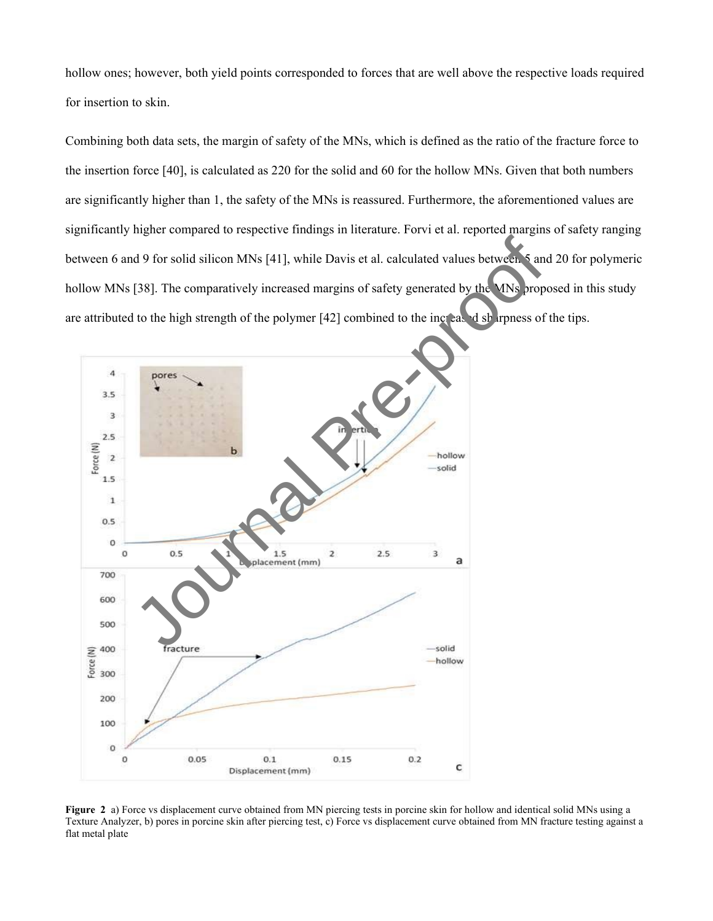hollow ones; however, both yield points corresponded to forces that are well above the respective loads required for insertion to skin.

Combining both data sets, the margin of safety of the MNs, which is defined as the ratio of the fracture force to the insertion force [40], is calculated as 220 for the solid and 60 for the hollow MNs. Given that both numbers are significantly higher than 1, the safety of the MNs is reassured. Furthermore, the aforementioned values are significantly higher compared to respective findings in literature. Forvi et al. reported margins of safety ranging between 6 and 9 for solid silicon MNs [41], while Davis et al. calculated values between 5 and 20 for polymeric hollow MNs [38]. The comparatively increased margins of safety generated by the MNs proposed in this study are attributed to the high strength of the polymer [42] combined to the increased sharpness of the tips.



**Figure 2** a) Force vs displacement curve obtained from MN piercing tests in porcine skin for hollow and identical solid MNs using a Texture Analyzer, b) pores in porcine skin after piercing test, c) Force vs displacement curve obtained from MN fracture testing against a flat metal plate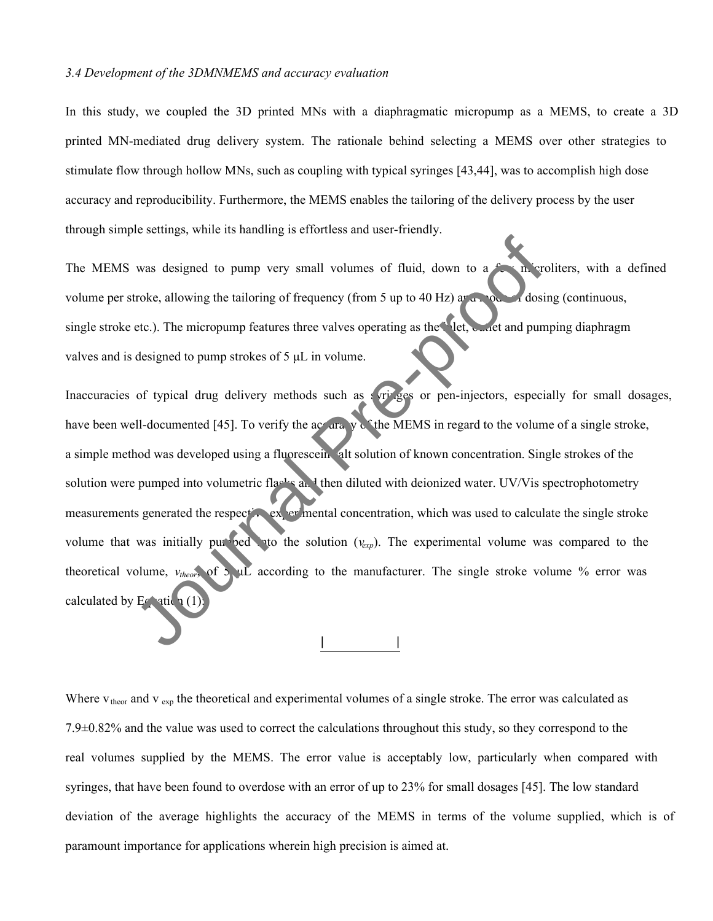#### *3.4 Development of the 3DMNMEMS and accuracy evaluation*

In this study, we coupled the 3D printed MNs with a diaphragmatic micropump as a MEMS, to create a 3D printed MN-mediated drug delivery system. The rationale behind selecting a MEMS over other strategies to stimulate flow through hollow MNs, such as coupling with typical syringes [43,44], was to accomplish high dose accuracy and reproducibility. Furthermore, the MEMS enables the tailoring of the delivery process by the user through simple settings, while its handling is effortless and user-friendly.

The MEMS was designed to pump very small volumes of fluid, down to a  $f_{\text{eff}}$  m croliters, with a defined volume per stroke, allowing the tailoring of frequency (from 5 up to 40 Hz) and mode of dosing (continuous, single stroke etc.). The micropump features three valves operating as the let, outlet and pumping diaphragm valves and is designed to pump strokes of 5 μL in volume.

Inaccuracies of typical drug delivery methods such as syringes or pen-injectors, especially for small dosages, have been well-documented [45]. To verify the accuracy of the MEMS in regard to the volume of a single stroke, a simple method was developed using a fluorescein alt solution of known concentration. Single strokes of the solution were pumped into volumetric flasks and then diluted with deionized water. UV/Vis spectrophotometry measurements generated the respective experimental concentration, which was used to calculate the single stroke volume that was initially pumped to the solution  $(v_{exp})$ . The experimental volume was compared to the theoretical volume, *vtheor*, of 5 μL according to the manufacturer. The single stroke volume % error was calculated by  $E \cap \text{at}_1(1)$ was designed to pump very small volumes of fluid, down to a<br>troke, allowing the tailoring of frequency (from 5 up to 40 Hz) and a dosi<br>etc.). The micropump features three valves operating as the steel, whet and pum<br>design

Where  $v_{\text{theor}}$  and  $v_{\text{exp}}$  the theoretical and experimental volumes of a single stroke. The error was calculated as 7.9±0.82% and the value was used to correct the calculations throughout this study, so they correspond to the real volumes supplied by the MEMS. The error value is acceptably low, particularly when compared with syringes, that have been found to overdose with an error of up to 23% for small dosages [45]. The low standard deviation of the average highlights the accuracy of the MEMS in terms of the volume supplied, which is of paramount importance for applications wherein high precision is aimed at.

| |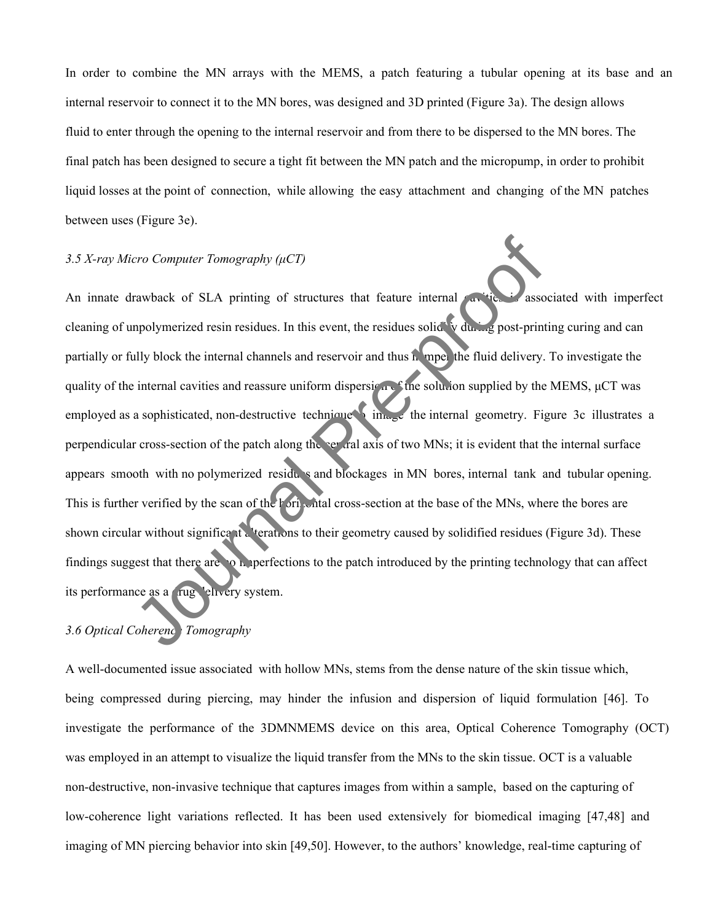In order to combine the MN arrays with the MEMS, a patch featuring a tubular opening at its base and an internal reservoir to connect it to the MN bores, was designed and 3D printed (Figure 3a). The design allows fluid to enter through the opening to the internal reservoir and from there to be dispersed to the MN bores. The final patch has been designed to secure a tight fit between the MN patch and the micropump, in order to prohibit liquid losses at the point of connection, while allowing the easy attachment and changing of the MN patches between uses (Figure 3e).

#### *3.5 X-ray Micro Computer Tomography (μCT)*

An innate drawback of SLA printing of structures that feature internal cavities is associated with imperfect cleaning of unpolymerized resin residues. In this event, the residues solidify during post-printing curing and can partially or fully block the internal channels and reservoir and thus hamper the fluid delivery. To investigate the quality of the internal cavities and reassure uniform dispersion of the solution supplied by the MEMS, μCT was employed as a sophisticated, non-destructive technique  $\lim_{n \to \infty}$  the internal geometry. Figure 3c illustrates a perpendicular cross-section of the patch along the central axis of two MNs; it is evident that the internal surface appears smooth with no polymerized residus and blockages in MN bores, internal tank and tubular opening. This is further verified by the scan of the horizontal cross-section at the base of the MNs, where the bores are shown circular without significant alterations to their geometry caused by solidified residues (Figure 3d). These findings suggest that there are on perfections to the patch introduced by the printing technology that can affect its performance as a rug elivery system. *Computer Tomography (µCT)*<br>
Trawback of SLA printing of structures that feature internal<br>
mpolymerized resin residues. In this event, the residues solid with any post-print<br>
Illy block the internal channels and reservoir

#### *3.6 Optical Coherence Tomography*

A well-documented issue associated with hollow MNs, stems from the dense nature of the skin tissue which, being compressed during piercing, may hinder the infusion and dispersion of liquid formulation [46]. To investigate the performance of the 3DMNMEMS device on this area, Optical Coherence Tomography (OCT) was employed in an attempt to visualize the liquid transfer from the MNs to the skin tissue. OCT is a valuable non-destructive, non-invasive technique that captures images from within a sample, based on the capturing of low-coherence light variations reflected. It has been used extensively for biomedical imaging [47,48] and imaging of MN piercing behavior into skin [49,50]. However, to the authors' knowledge, real-time capturing of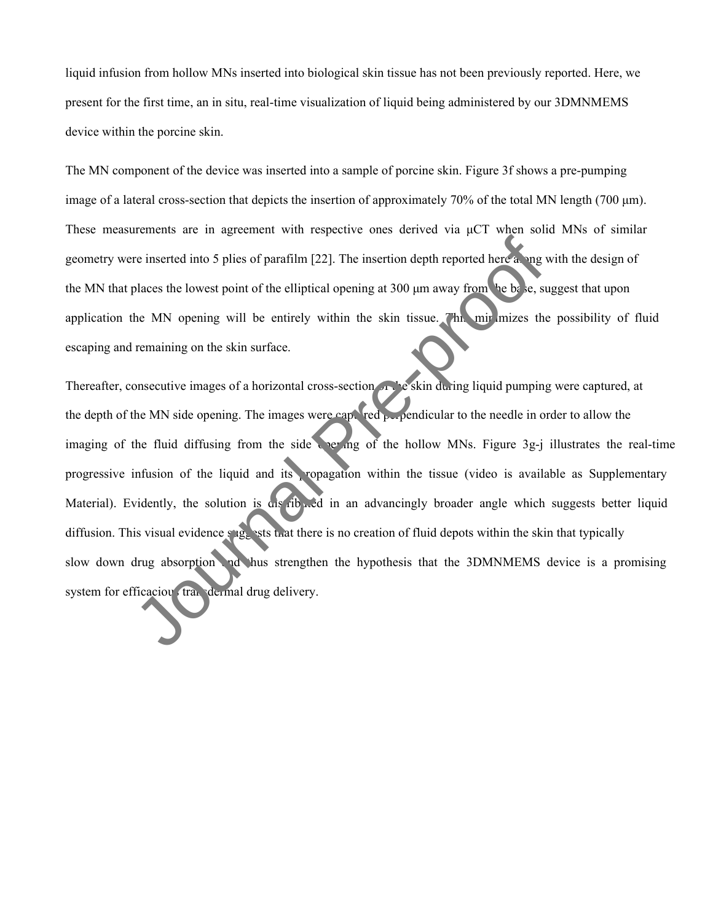liquid infusion from hollow MNs inserted into biological skin tissue has not been previously reported. Here, we present for the first time, an in situ, real-time visualization of liquid being administered by our 3DMNMEMS device within the porcine skin.

The MN component of the device was inserted into a sample of porcine skin. Figure 3f shows a pre-pumping image of a lateral cross-section that depicts the insertion of approximately 70% of the total MN length (700 μm). These measurements are in agreement with respective ones derived via μCT when solid MNs of similar geometry were inserted into 5 plies of parafilm [22]. The insertion depth reported here along with the design of the MN that places the lowest point of the elliptical opening at 300 μm away from the base, suggest that upon application the MN opening will be entirely within the skin tissue. This minimizes the possibility of fluid escaping and remaining on the skin surface.

Thereafter, consecutive images of a horizontal cross-section of the skin during liquid pumping were captured, at the depth of the MN side opening. The images were captured perpendicular to the needle in order to allow the imaging of the fluid diffusing from the side opering of the hollow MNs. Figure 3g-j illustrates the real-time progressive infusion of the liquid and its ropagation within the tissue (video is available as Supplementary Material). Evidently, the solution is distributed in an advancingly broader angle which suggests better liquid diffusion. This visual evidence suggests that there is no creation of fluid depots within the skin that typically slow down drug absorption and hus strengthen the hypothesis that the 3DMNMEMS device is a promising system for efficaciou transdermal drug delivery. The inserted into 5 plies of parafilm [22]. The insertion depth reported here a angulaces the lowest point of the elliptical opening at 300 µm away from the b.k., stelling places the MN opening will be entirely within the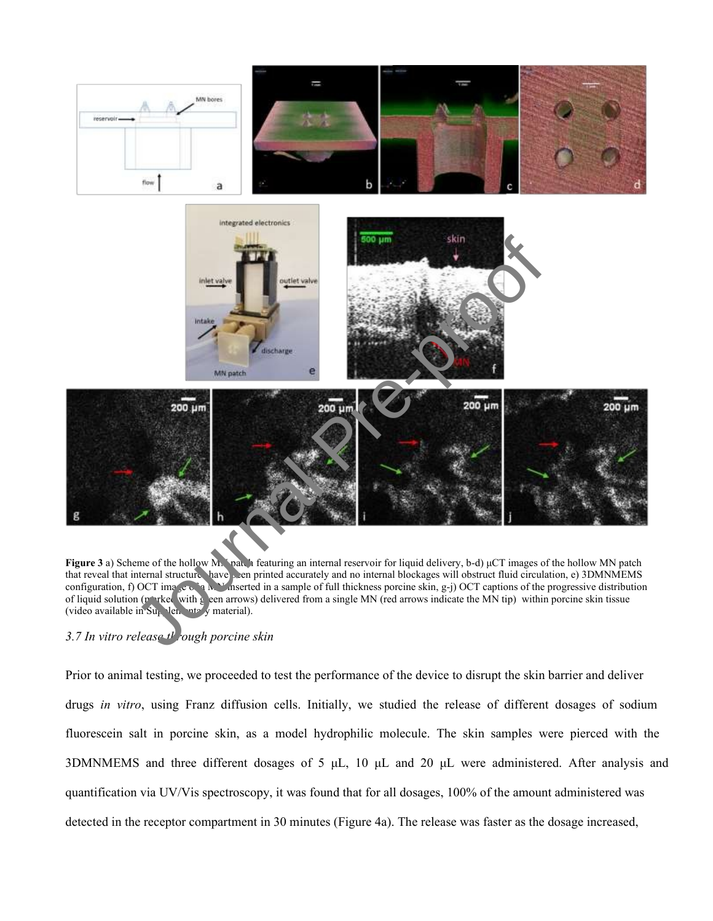

**Figure 3** a) Scheme of the hollow MN patch featuring an internal reservoir for liquid delivery, b-d) μCT images of the hollow MN patch that reveal that internal structures have been printed accurately and no internal blockages will obstruct fluid circulation, e) 3DMNMEMS configuration, f) OCT image of a MN inserted in a sample of full thickness porcine skin, g-j) OCT captions of the progressive distribution of liquid solution (no rked with g een arrows) delivered from a single MN (red arrows indicate the MN tip) within porcine skin tissue (video available in  $\text{Su}_{k}$ , len, nte y material).

#### *3.7 In vitro release through porcine skin*

Prior to animal testing, we proceeded to test the performance of the device to disrupt the skin barrier and deliver drugs *in vitro*, using Franz diffusion cells. Initially, we studied the release of different dosages of sodium fluorescein salt in porcine skin, as a model hydrophilic molecule. The skin samples were pierced with the 3DMNMEMS and three different dosages of 5 μL, 10 μL and 20 μL were administered. After analysis and quantification via UV/Vis spectroscopy, it was found that for all dosages, 100% of the amount administered was detected in the receptor compartment in 30 minutes (Figure 4a). The release was faster as the dosage increased,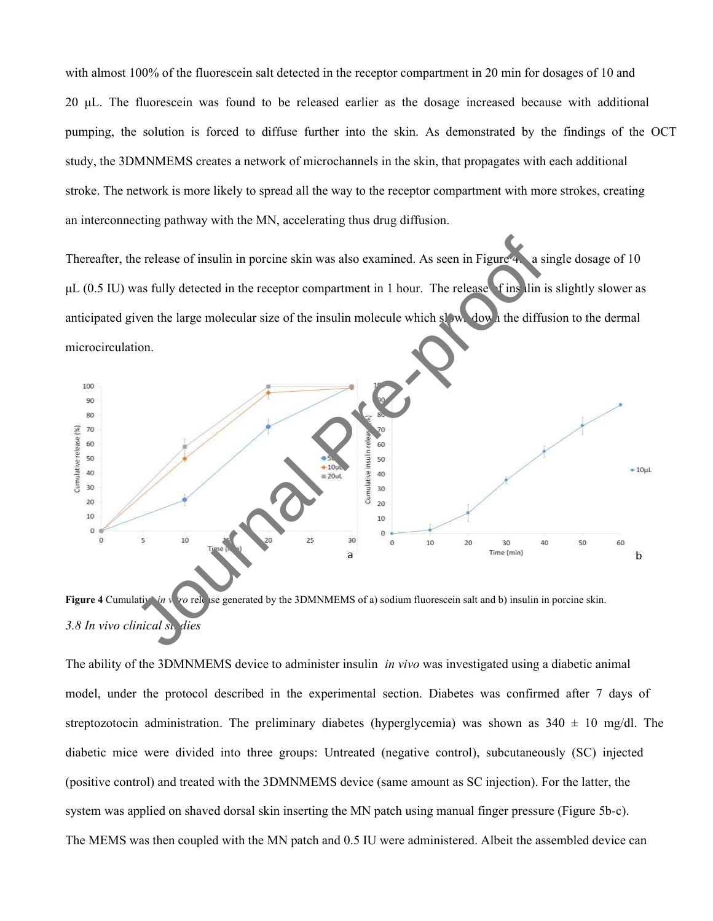with almost 100% of the fluorescein salt detected in the receptor compartment in 20 min for dosages of 10 and 20 μL. The fluorescein was found to be released earlier as the dosage increased because with additional pumping, the solution is forced to diffuse further into the skin. As demonstrated by the findings of the OCT study, the 3DMNMEMS creates a network of microchannels in the skin, that propagates with each additional stroke. The network is more likely to spread all the way to the receptor compartment with more strokes, creating an interconnecting pathway with the MN, accelerating thus drug diffusion.

Thereafter, the release of insulin in porcine skin was also examined. As seen in Figure 4  $\alpha$  a single dosage of 10  $\mu$ L (0.5 IU) was fully detected in the receptor compartment in 1 hour. The release finsulin is slightly slower as anticipated given the large molecular size of the insulin molecule which slows down the diffusion to the dermal microcirculation.



**Figure 4** Cumulative *in* v<sub>in</sub> v<sub>in</sub> c release generated by the 3DMNMEMS of a) sodium fluorescein salt and b) insulin in porcine skin. 3.8 In vivo clinical st. dies

The ability of the 3DMNMEMS device to administer insulin *in vivo* was investigated using a diabetic animal model, under the protocol described in the experimental section. Diabetes was confirmed after 7 days of streptozotocin administration. The preliminary diabetes (hyperglycemia) was shown as  $340 \pm 10$  mg/dl. The diabetic mice were divided into three groups: Untreated (negative control), subcutaneously (SC) injected (positive control) and treated with the 3DMNMEMS device (same amount as SC injection). For the latter, the system was applied on shaved dorsal skin inserting the MN patch using manual finger pressure (Figure 5b-c). The MEMS was then coupled with the MN patch and 0.5 IU were administered. Albeit the assembled device can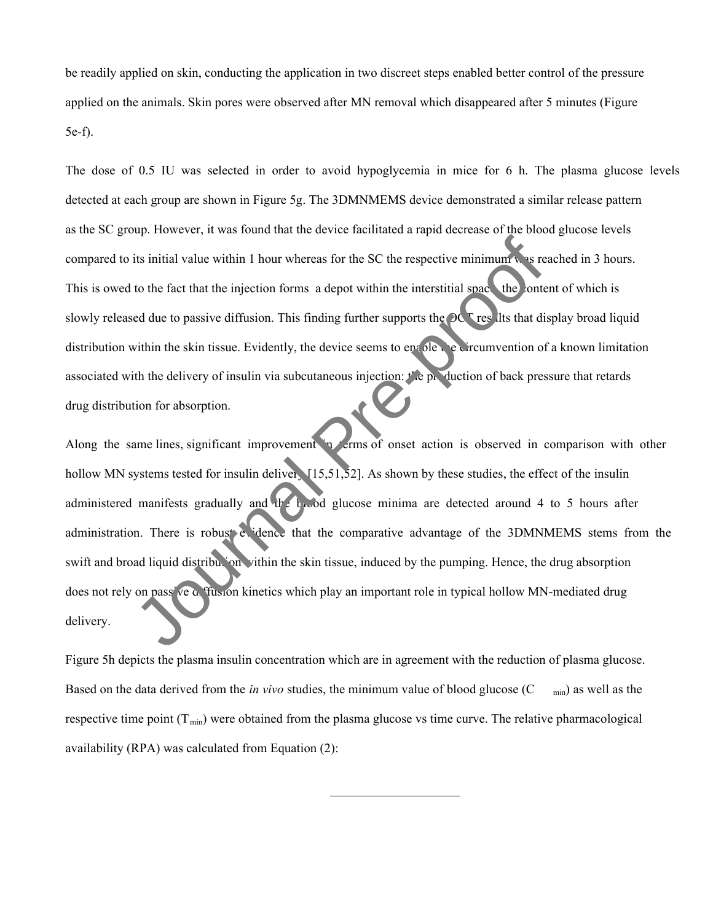be readily applied on skin, conducting the application in two discreet steps enabled better control of the pressure applied on the animals. Skin pores were observed after MN removal which disappeared after 5 minutes (Figure 5e-f).

The dose of 0.5 IU was selected in order to avoid hypoglycemia in mice for 6 h. The plasma glucose levels detected at each group are shown in Figure 5g. The 3DMNMEMS device demonstrated a similar release pattern as the SC group. However, it was found that the device facilitated a rapid decrease of the blood glucose levels compared to its initial value within 1 hour whereas for the SC the respective minimum was reached in 3 hours. This is owed to the fact that the injection forms a depot within the interstitial space, the content of which is slowly released due to passive diffusion. This finding further supports the  $OC^T$  results that display broad liquid distribution within the skin tissue. Evidently, the device seems to enable the circumvention of a known limitation associated with the delivery of insulin via subcutaneous injection:  $t'$  e production of back pressure that retards drug distribution for absorption.

Along the same lines, significant improvement in terms of onset action is observed in comparison with other hollow MN systems tested for insulin delivery  $[15,51,52]$ . As shown by these studies, the effect of the insulin administered manifests gradually and the blood glucose minima are detected around 4 to 5 hours after administration. There is robust evidence that the comparative advantage of the 3DMNMEMS stems from the swift and broad liquid distribution vithin the skin tissue, induced by the pumping. Hence, the drug absorption does not rely on pass ve a fusion kinetics which play an important role in typical hollow MN-mediated drug delivery. The sixted for insulin diverse in the SC the respective minimum was rest to the fact that the injection forms a depot within the interstitial space the onted due to passive diffusion. This finding further supports the **OC** 

Figure 5h depicts the plasma insulin concentration which are in agreement with the reduction of plasma glucose. Based on the data derived from the *in vivo* studies, the minimum value of blood glucose (C min) as well as the respective time point  $(T_{min})$  were obtained from the plasma glucose vs time curve. The relative pharmacological availability (RPA) was calculated from Equation (2):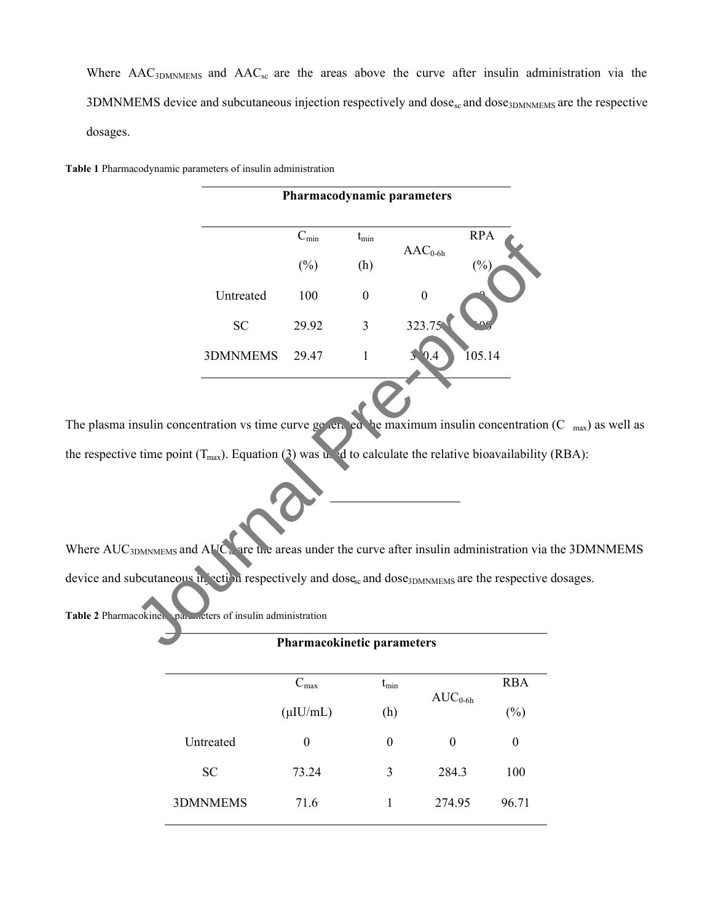Where  $\text{AAC}_{3\text{DMNMEMS}}$  and  $\text{AAC}_{\text{sc}}$  are the areas above the curve after insulin administration via the  $3$ DMNMEMS device and subcutaneous injection respectively and dose<sub>sc</sub> and dose<sub>3DMNMEMS</sub> are the respective dosages.

**Pharmacodynamic parameters**

**Table 1** Pharmacodynamic parameters of insulin administration

|                                                                                                                                                                                                                                                                                                                                                                                                                                                      |           | $C_{min}$ | $t_{\rm min}$    | $\text{AAC}_{0-6h}$ | <b>RPA</b> |  |  |  |  |
|------------------------------------------------------------------------------------------------------------------------------------------------------------------------------------------------------------------------------------------------------------------------------------------------------------------------------------------------------------------------------------------------------------------------------------------------------|-----------|-----------|------------------|---------------------|------------|--|--|--|--|
|                                                                                                                                                                                                                                                                                                                                                                                                                                                      |           | $(\%)$    | (h)              |                     | $(\%)$     |  |  |  |  |
|                                                                                                                                                                                                                                                                                                                                                                                                                                                      | Untreated | 100       | $\boldsymbol{0}$ | $\boldsymbol{0}$    |            |  |  |  |  |
|                                                                                                                                                                                                                                                                                                                                                                                                                                                      | <b>SC</b> | 29.92     | $\overline{3}$   | 323.75              |            |  |  |  |  |
|                                                                                                                                                                                                                                                                                                                                                                                                                                                      | 3DMNMEMS  | 29.47     | $\mathbf{1}$     | 0.4                 | 105.14     |  |  |  |  |
| nsulin concentration vs time curve gevent ed be maximum insulin concentration<br>e time point $(T_{\text{max}})$ . Equation (3) was unit d to calculate the relative bioavailability<br>$_{\rm BDMNMEMS}$ and $\rm AHC_s$ are the areas under the curve after insulin administration via<br>abcutaneous in ection respectively and dose <sub>sc</sub> and dose <sub>3DMNMEMS</sub> are the respective<br>cokine. par eters of insulin administration |           |           |                  |                     |            |  |  |  |  |
| <b>Pharmacokinetic parameters</b>                                                                                                                                                                                                                                                                                                                                                                                                                    |           |           |                  |                     |            |  |  |  |  |

The plasma insulin concentration vs time curve generated the maximum insulin concentration  $(C_{\text{max}})$  as well as the respective time point ( $T_{max}$ ). Equation (3) was used to calculate the relative bioavailability (RBA):

Where  $AUC<sub>3DMMEMS</sub>$  and  $AUC<sub>sk</sub>$  are the areas under the curve after insulin administration via the 3DMNMEMS device and subcutaneous in expectively and dose<sub>sc</sub> and dose<sub>3DMNMEMS</sub> are the respective dosages.

Table 2 Pharmacokinetic parameters of insulin administration

|           | <b>Pharmacokinetic parameters</b> |                  |              |            |  |  |
|-----------|-----------------------------------|------------------|--------------|------------|--|--|
|           | $C_{\text{max}}$                  | $t_{\rm min}$    |              | <b>RBA</b> |  |  |
|           | $(\mu I U/mL)$                    | (h)              | $AUC_{0-6h}$ | $(\%)$     |  |  |
| Untreated | 0                                 | $\boldsymbol{0}$ | $\theta$     | 0          |  |  |
| <b>SC</b> | 73.24                             | 3                | 284.3        | 100        |  |  |
| 3DMNMEMS  | 71.6                              |                  | 274.95       | 96.71      |  |  |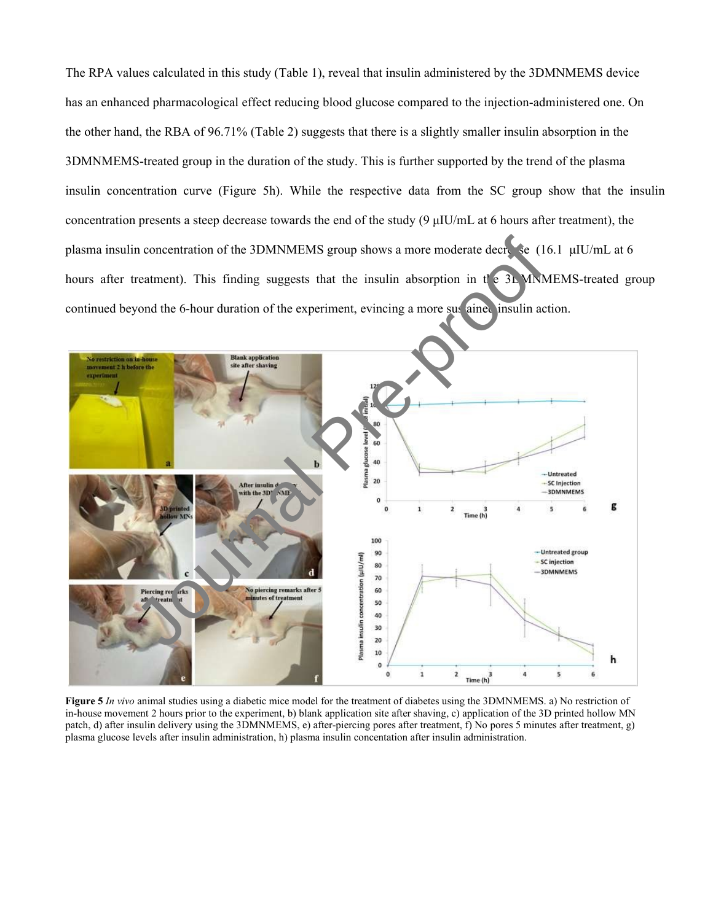The RPA values calculated in this study (Table 1), reveal that insulin administered by the 3DMNMEMS device has an enhanced pharmacological effect reducing blood glucose compared to the injection-administered one. On the other hand, the RBA of 96.71% (Table 2) suggests that there is a slightly smaller insulin absorption in the 3DMNMEMS-treated group in the duration of the study. This is further supported by the trend of the plasma insulin concentration curve (Figure 5h). While the respective data from the SC group show that the insulin concentration presents a steep decrease towards the end of the study  $(9 \mu I U/mL)$  at 6 hours after treatment), the plasma insulin concentration of the 3DMNMEMS group shows a more moderate decrease (16.1 μIU/mL at 6 hours after treatment). This finding suggests that the insulin absorption in  $t \in \mathcal{X}$ . MNMEMS-treated group continued beyond the 6-hour duration of the experiment, evincing a more sus ained insulin action.



**Figure 5** *In vivo* animal studies using a diabetic mice model for the treatment of diabetes using the 3DMNMEMS. a) No restriction of in-house movement 2 hours prior to the experiment, b) blank application site after shaving, c) application of the 3D printed hollow MN patch, d) after insulin delivery using the 3DMNMEMS, e) after-piercing pores after treatment, f) No pores 5 minutes after treatment, g) plasma glucose levels after insulin administration, h) plasma insulin concentation after insulin administration.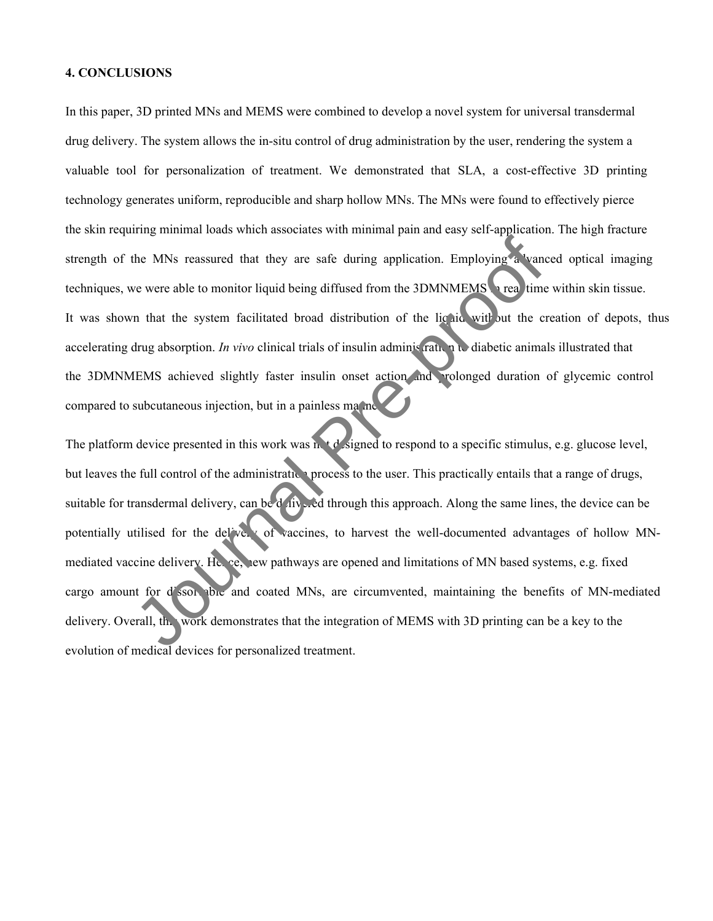#### **4. CONCLUSIONS**

In this paper, 3D printed MNs and MEMS were combined to develop a novel system for universal transdermal drug delivery. The system allows the in-situ control of drug administration by the user, rendering the system a valuable tool for personalization of treatment. We demonstrated that SLA, a cost-effective 3D printing technology generates uniform, reproducible and sharp hollow MNs. The MNs were found to effectively pierce the skin requiring minimal loads which associates with minimal pain and easy self-application. The high fracture strength of the MNs reassured that they are safe during application. Employing a vanced optical imaging techniques, we were able to monitor liquid being diffused from the 3DMNMEMS in real time within skin tissue. It was shown that the system facilitated broad distribution of the liquid with but the creation of depots, thus accelerating drug absorption. *In vivo* clinical trials of insulin administration to diabetic animals illustrated that the 3DMNMEMS achieved slightly faster insulin onset action and prolonged duration of glycemic control compared to subcutaneous injection, but in a painless manner.

The platform device presented in this work was not designed to respond to a specific stimulus, e.g. glucose level, but leaves the full control of the administration process to the user. This practically entails that a range of drugs, suitable for transdermal delivery, can be delivered through this approach. Along the same lines, the device can be potentially utilised for the delivery of vaccines, to harvest the well-documented advantages of hollow MNmediated vaccine delivery. Hence, new pathways are opened and limitations of MN based systems, e.g. fixed cargo amount for d'ssolvable and coated MNs, are circumvented, maintaining the benefits of MN-mediated delivery. Overall, this work demonstrates that the integration of MEMS with 3D printing can be a key to the evolution of the MNs reassured that they are safe during application. Employing a wand<br>techniques, we were able to monitor liquid being diffused from the 3DMNMEMS area time<br>It was shown that the system facilitated broad di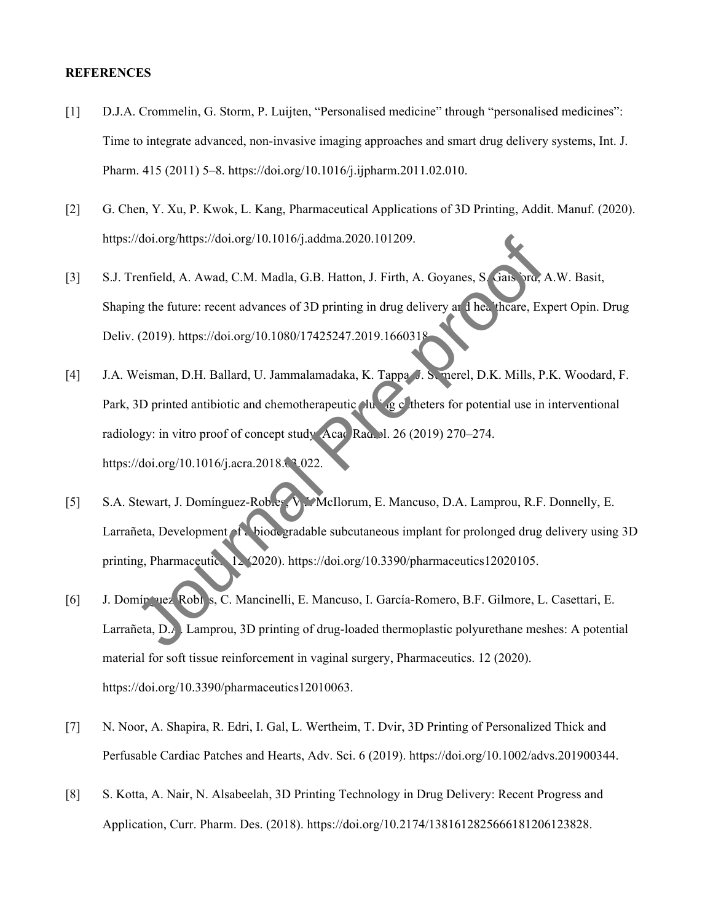#### **REFERENCES**

- [1] D.J.A. Crommelin, G. Storm, P. Luijten, "Personalised medicine" through "personalised medicines": Time to integrate advanced, non-invasive imaging approaches and smart drug delivery systems, Int. J. Pharm. 415 (2011) 5–8. https://doi.org/10.1016/j.ijpharm.2011.02.010.
- [2] G. Chen, Y. Xu, P. Kwok, L. Kang, Pharmaceutical Applications of 3D Printing, Addit. Manuf. (2020). https://doi.org/https://doi.org/10.1016/j.addma.2020.101209.
- [3] S.J. Trenfield, A. Awad, C.M. Madla, G.B. Hatton, J. Firth, A. Goyanes, S. Gais, ord, A.W. Basit, Shaping the future: recent advances of 3D printing in drug delivery and healthcare, Expert Opin. Drug Deliv. (2019). https://doi.org/10.1080/17425247.2019.1660318.
- [4] J.A. Weisman, D.H. Ballard, U. Jammalamadaka, K. Tappa, J. S. merel, D.K. Mills, P.K. Woodard, F. Park, 3D printed antibiotic and chemotherapeutic  $\Delta u$  is g c theters for potential use in interventional radiology: in vitro proof of concept study, Acad Rad. 1. 26 (2019) 270–274. https://doi.org/10.1016/j.acra.2018.03.022. Aloi.org/https://doi.org/10.1016/jaddma.2020.101209.<br>
Tenfield, A. Awad, C.M. Madla, G.B. Hatton, J. Firth, A. Goyanes, S. Cals. and A. Awad, C.M. Madla, G.B. Hatton, J. Firth, A. Goyanes, S. Cals. and Agency and the filte
- [5] S.A. Stewart, J. Domínguez-Robles, V.J. McIlorum, E. Mancuso, D.A. Lamprou, R.F. Donnelly, E. Larrañeta, Development of a biodegradable subcutaneous implant for prolonged drug delivery using 3D printing, Pharmaceutics. 12 (2020). https://doi.org/10.3390/pharmaceutics12020105.
- [6] J. Domín uez<sup>Robl</sup>s, C. Mancinelli, E. Mancuso, I. García-Romero, B.F. Gilmore, L. Casettari, E. Larrañeta, D.A. Lamprou, 3D printing of drug-loaded thermoplastic polyurethane meshes: A potential material for soft tissue reinforcement in vaginal surgery, Pharmaceutics. 12 (2020). https://doi.org/10.3390/pharmaceutics12010063.
- [7] N. Noor, A. Shapira, R. Edri, I. Gal, L. Wertheim, T. Dvir, 3D Printing of Personalized Thick and Perfusable Cardiac Patches and Hearts, Adv. Sci. 6 (2019). https://doi.org/10.1002/advs.201900344.
- [8] S. Kotta, A. Nair, N. Alsabeelah, 3D Printing Technology in Drug Delivery: Recent Progress and Application, Curr. Pharm. Des. (2018). https://doi.org/10.2174/1381612825666181206123828.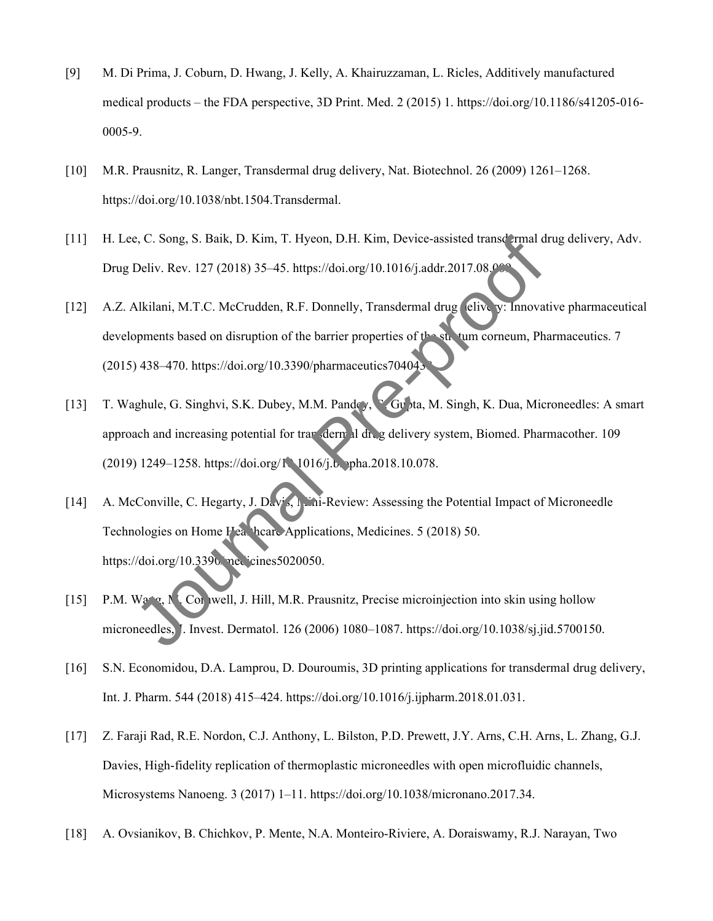- [9] M. Di Prima, J. Coburn, D. Hwang, J. Kelly, A. Khairuzzaman, L. Ricles, Additively manufactured medical products – the FDA perspective, 3D Print. Med. 2 (2015) 1. https://doi.org/10.1186/s41205-016- 0005-9.
- [10] M.R. Prausnitz, R. Langer, Transdermal drug delivery, Nat. Biotechnol. 26 (2009) 1261–1268. https://doi.org/10.1038/nbt.1504.Transdermal.
- [11] H. Lee, C. Song, S. Baik, D. Kim, T. Hyeon, D.H. Kim, Device-assisted transdermal drug delivery, Adv. Drug Deliv. Rev. 127 (2018) 35-45. https://doi.org/10.1016/j.addr.2017.08.00
- [12] A.Z. Alkilani, M.T.C. McCrudden, R.F. Donnelly, Transdermal drug elive y: Innovative pharmaceutical developments based on disruption of the barrier properties of the stratum corneum, Pharmaceutics. 7 (2015) 438-470. https://doi.org/10.3390/pharmaceutics704043
- [13] T. Waghule, G. Singhvi, S.K. Dubey, M.M. Pandey, Gupta, M. Singh, K. Dua, Microneedles: A smart approach and increasing potential for transdermal drug delivery system, Biomed. Pharmacother. 109 (2019) 1249–1258. https://doi.org/10.1016/j.b. pha.2018.10.078.
- [14] A. McConville, C. Hegarty, J. Davis, Mini-Review: Assessing the Potential Impact of Microneedle Technologies on Home Healthcare Applications, Medicines. 5 (2018) 50. https://doi.org/10.3390/medicines5020050. e, C. Song, S. Baik, D. Kim, T. Hyeon, D.H. Kim, Device-assisted transd rmal d<br>Deliv. Rev. 127 (2018) 35–45. https://doi.org/10.1016/j.addr.2017.08.09<br>Alkilani, M.T.C. McCrudden, R.F. Donnelly, Transdermal drug clive y: In
- [15] P.M. Wang, N. Cornwell, J. Hill, M.R. Prausnitz, Precise microinjection into skin using hollow microneedles, J. Invest. Dermatol. 126 (2006) 1080–1087. https://doi.org/10.1038/sj.jid.5700150.
- [16] S.N. Economidou, D.A. Lamprou, D. Douroumis, 3D printing applications for transdermal drug delivery, Int. J. Pharm. 544 (2018) 415–424. https://doi.org/10.1016/j.ijpharm.2018.01.031.
- [17] Z. Faraji Rad, R.E. Nordon, C.J. Anthony, L. Bilston, P.D. Prewett, J.Y. Arns, C.H. Arns, L. Zhang, G.J. Davies, High-fidelity replication of thermoplastic microneedles with open microfluidic channels, Microsystems Nanoeng. 3 (2017) 1–11. https://doi.org/10.1038/micronano.2017.34.
- [18] A. Ovsianikov, B. Chichkov, P. Mente, N.A. Monteiro-Riviere, A. Doraiswamy, R.J. Narayan, Two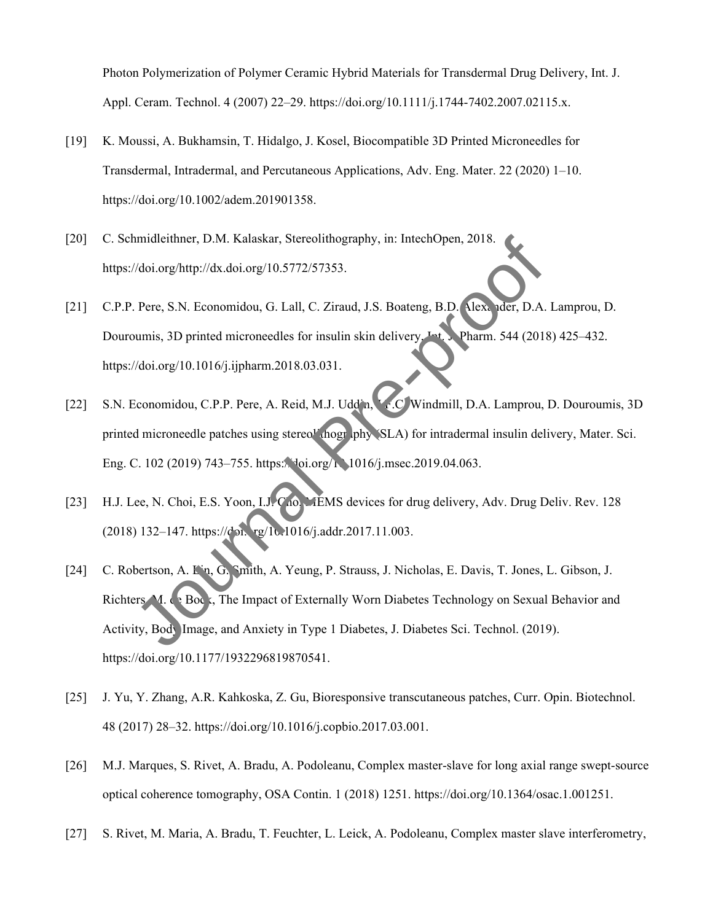Photon Polymerization of Polymer Ceramic Hybrid Materials for Transdermal Drug Delivery, Int. J. Appl. Ceram. Technol. 4 (2007) 22–29. https://doi.org/10.1111/j.1744-7402.2007.02115.x.

- [19] K. Moussi, A. Bukhamsin, T. Hidalgo, J. Kosel, Biocompatible 3D Printed Microneedles for Transdermal, Intradermal, and Percutaneous Applications, Adv. Eng. Mater. 22 (2020) 1–10. https://doi.org/10.1002/adem.201901358.
- [20] C. Schmidleithner, D.M. Kalaskar, Stereolithography, in: IntechOpen, 2018. https://doi.org/http://dx.doi.org/10.5772/57353.
- [21] C.P.P. Pere, S.N. Economidou, G. Lall, C. Ziraud, J.S. Boateng, B.D. Alexander, D.A. Lamprou, D. Douroumis, 3D printed microneedles for insulin skin delivery, Int. Pharm. 544 (2018) 425–432. https://doi.org/10.1016/j.ijpharm.2018.03.031.
- [22] S.N. Economidou, C.P.P. Pere, A. Reid, M.J. Uddin, J.C. Windmill, D.A. Lamprou, D. Douroumis, 3D printed microneedle patches using stereo<sup>r</sup> hography (SLA) for intradermal insulin delivery, Mater. Sci. Eng. C. 102 (2019) 743–755. https://doi.org/10.1016/j.msec.2019.04.063.
- [23] H.J. Lee, N. Choi, E.S. Yoon, I.J. Cho, MEMS devices for drug delivery, Adv. Drug Deliv. Rev. 128 (2018) 132-147. https://doi. rg/10.1016/j.addr.2017.11.003.
- [24] C. Robertson, A. Lin, G. Smith, A. Yeung, P. Strauss, J. Nicholas, E. Davis, T. Jones, L. Gibson, J. Richters, M. de Bock, The Impact of Externally Worn Diabetes Technology on Sexual Behavior and Activity, Body Image, and Anxiety in Type 1 Diabetes, J. Diabetes Sci. Technol. (2019). https://doi.org/10.1177/1932296819870541. Altion Control is a Terrelithography, in: IntechOpen, 2018.<br>
Journal Pre-provides Altion Correlation Control is a Decision of the SML and Altion Correlation C. D.A.<br>
Journal S. D. Perce, S.N. Economidou, G. Lall, C. Ziraud
- [25] J. Yu, Y. Zhang, A.R. Kahkoska, Z. Gu, Bioresponsive transcutaneous patches, Curr. Opin. Biotechnol. 48 (2017) 28–32. https://doi.org/10.1016/j.copbio.2017.03.001.
- [26] M.J. Marques, S. Rivet, A. Bradu, A. Podoleanu, Complex master-slave for long axial range swept-source optical coherence tomography, OSA Contin. 1 (2018) 1251. https://doi.org/10.1364/osac.1.001251.
- [27] S. Rivet, M. Maria, A. Bradu, T. Feuchter, L. Leick, A. Podoleanu, Complex master slave interferometry,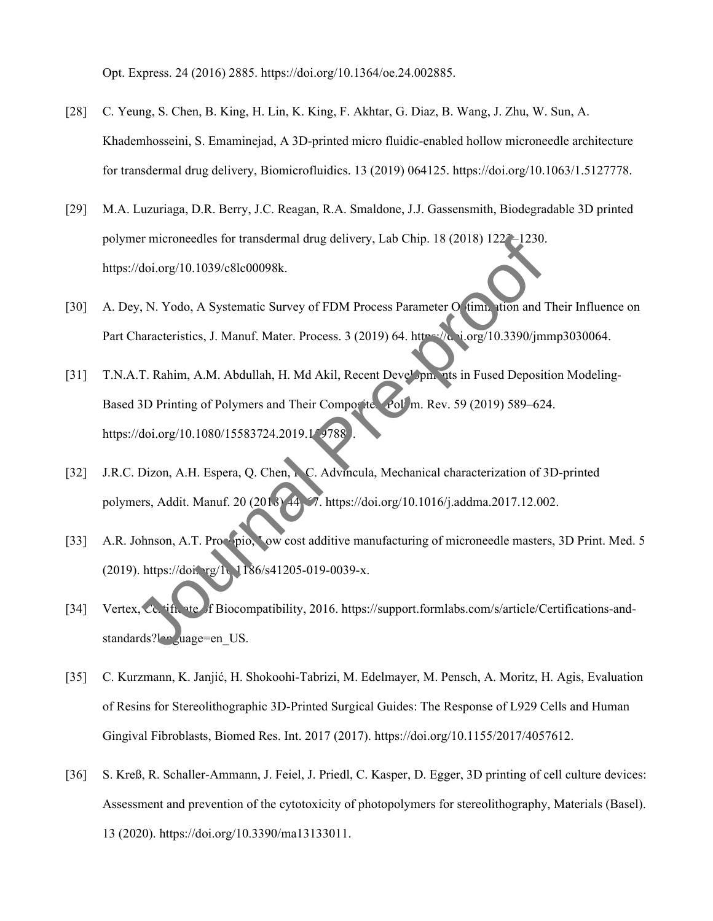Opt. Express. 24 (2016) 2885. https://doi.org/10.1364/oe.24.002885.

- [28] C. Yeung, S. Chen, B. King, H. Lin, K. King, F. Akhtar, G. Diaz, B. Wang, J. Zhu, W. Sun, A. Khademhosseini, S. Emaminejad, A 3D-printed micro fluidic-enabled hollow microneedle architecture for transdermal drug delivery, Biomicrofluidics. 13 (2019) 064125. https://doi.org/10.1063/1.5127778.
- [29] M.A. Luzuriaga, D.R. Berry, J.C. Reagan, R.A. Smaldone, J.J. Gassensmith, Biodegradable 3D printed polymer microneedles for transdermal drug delivery, Lab Chip. 18 (2018) 1222–1230. https://doi.org/10.1039/c8lc00098k.
- [30] A. Dey, N. Yodo, A Systematic Survey of FDM Process Parameter O timization and Their Influence on Part Characteristics, J. Manuf. Mater. Process. 3 (2019) 64. https://doi.org/10.3390/jmmp3030064.
- [31] T.N.A.T. Rahim, A.M. Abdullah, H. Md Akil, Recent Developments in Fused Deposition Modeling-Based 3D Printing of Polymers and Their Composites, Polym. Rev. 59 (2019) 589–624. https://doi.org/10.1080/15583724.2019.159788 Vdoi.org/10.1039/c8lc00098k.<br>
Vdoi.org/10.1039/c8lc00098k.<br>
y, N. Yodo, A Systematic Survey of FDM Process Parameter O (imm. liton and "<br>
Tharacteristics, J. Manuf. Mater. Process. 3 (2019) 64. http://e. i.org/10.3390/jm<br>
- [32] J.R.C. Dizon, A.H. Espera, Q. Chen, R. C. Advincula, Mechanical characterization of 3D-printed polymers, Addit. Manuf. 20 (2018) 44–67. https://doi.org/10.1016/j.addma.2017.12.002.
- [33] A.R. Johnson, A.T. Procopio, Low cost additive manufacturing of microneedle masters, 3D Print. Med. 5 (2019). https://doi.org/10.1186/s41205-019-0039-x.
- [34] Vertex, Ce. ift. ite of Biocompatibility, 2016. https://support.formlabs.com/s/article/Certifications-andstandards?language=en\_US.
- [35] C. Kurzmann, K. Janjić, H. Shokoohi-Tabrizi, M. Edelmayer, M. Pensch, A. Moritz, H. Agis, Evaluation of Resins for Stereolithographic 3D-Printed Surgical Guides: The Response of L929 Cells and Human Gingival Fibroblasts, Biomed Res. Int. 2017 (2017). https://doi.org/10.1155/2017/4057612.
- [36] S. Kreß, R. Schaller-Ammann, J. Feiel, J. Priedl, C. Kasper, D. Egger, 3D printing of cell culture devices: Assessment and prevention of the cytotoxicity of photopolymers for stereolithography, Materials (Basel). 13 (2020). https://doi.org/10.3390/ma13133011.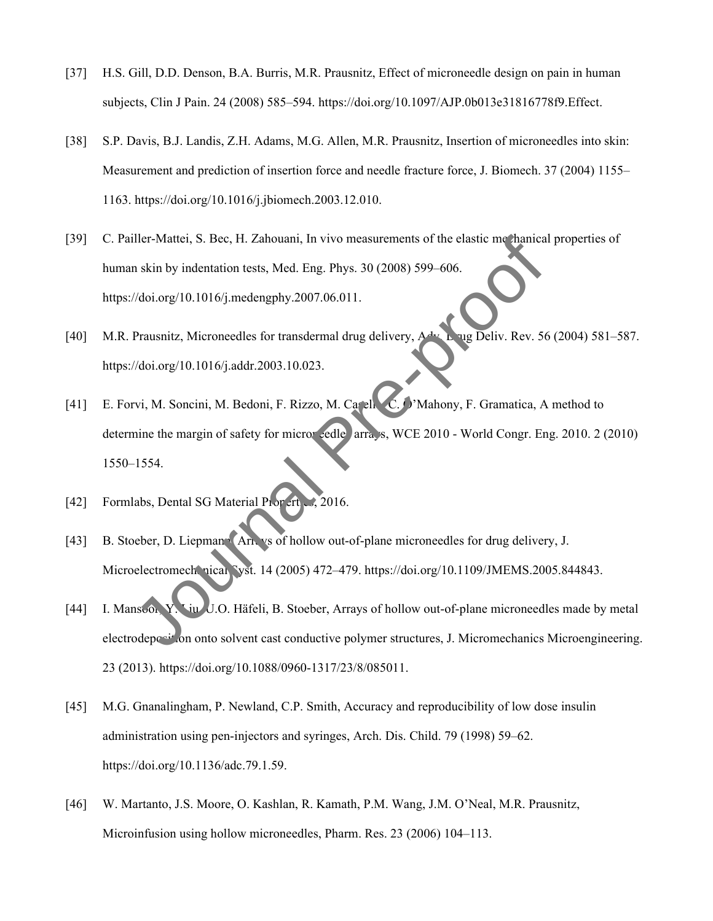- [37] H.S. Gill, D.D. Denson, B.A. Burris, M.R. Prausnitz, Effect of microneedle design on pain in human subjects, Clin J Pain. 24 (2008) 585–594. https://doi.org/10.1097/AJP.0b013e31816778f9.Effect.
- [38] S.P. Davis, B.J. Landis, Z.H. Adams, M.G. Allen, M.R. Prausnitz, Insertion of microneedles into skin: Measurement and prediction of insertion force and needle fracture force, J. Biomech. 37 (2004) 1155– 1163. https://doi.org/10.1016/j.jbiomech.2003.12.010.
- [39] C. Pailler-Mattei, S. Bec, H. Zahouani, In vivo measurements of the elastic mechanical properties of human skin by indentation tests, Med. Eng. Phys. 30 (2008) 599–606. https://doi.org/10.1016/j.medengphy.2007.06.011.
- [40] M.R. Prausnitz, Microneedles for transdermal drug delivery, A<sup>dv.</sup> Drug Deliv. Rev. 56 (2004) 581–587. https://doi.org/10.1016/j.addr.2003.10.023.
- [41] E. Forvi, M. Soncini, M. Bedoni, F. Rizzo, M. Casella, C. O'Mahony, F. Gramatica, A method to determine the margin of safety for microreedle arrays, WCE 2010 - World Congr. Eng. 2010. 2 (2010) 1550–1554. Iller-Mattei, S. Bec, H. Zahouani, In vivo measurements of the elastic morhanical<br>
n skin by indentation tests, Med. Eng. Phys. 30 (2008) 599–606.<br>
(/doi.org/10.1016/j.medengphy.2007.06.011.<br>
Prausnitz, Micronecelles for t
- [42] Formlabs, Dental SG Material Properties, 2016.
- [43] B. Stoeber, D. Liepmann, Arrays of hollow out-of-plane microneedles for drug delivery, J. Microelectromechanical Syst. 14 (2005) 472-479. https://doi.org/10.1109/JMEMS.2005.844843.
- [44] I. Mansoor, Y. Liu, U.O. Häfeli, B. Stoeber, Arrays of hollow out-of-plane microneedles made by metal electrodeposition onto solvent cast conductive polymer structures, J. Micromechanics Microengineering. 23 (2013). https://doi.org/10.1088/0960-1317/23/8/085011.
- [45] M.G. Gnanalingham, P. Newland, C.P. Smith, Accuracy and reproducibility of low dose insulin administration using pen-injectors and syringes, Arch. Dis. Child. 79 (1998) 59–62. https://doi.org/10.1136/adc.79.1.59.
- [46] W. Martanto, J.S. Moore, O. Kashlan, R. Kamath, P.M. Wang, J.M. O'Neal, M.R. Prausnitz, Microinfusion using hollow microneedles, Pharm. Res. 23 (2006) 104–113.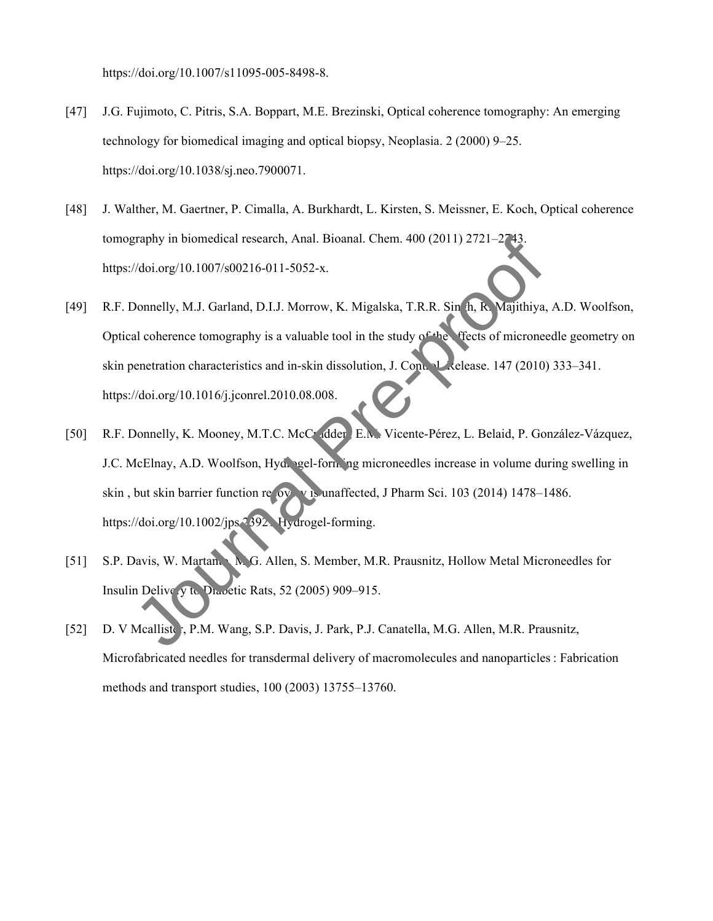https://doi.org/10.1007/s11095-005-8498-8.

- [47] J.G. Fujimoto, C. Pitris, S.A. Boppart, M.E. Brezinski, Optical coherence tomography: An emerging technology for biomedical imaging and optical biopsy, Neoplasia. 2 (2000) 9–25. https://doi.org/10.1038/sj.neo.7900071.
- [48] J. Walther, M. Gaertner, P. Cimalla, A. Burkhardt, L. Kirsten, S. Meissner, E. Koch, Optical coherence tomography in biomedical research, Anal. Bioanal. Chem. 400 (2011) 2721–2743. https://doi.org/10.1007/s00216-011-5052-x.
- [49] R.F. Donnelly, M.J. Garland, D.I.J. Morrow, K. Migalska, T.R.R. Sin h, R. Majithiya, A.D. Woolfson, Optical coherence tomography is a valuable tool in the study of the ffects of microneedle geometry on skin penetration characteristics and in-skin dissolution, J. Control. Lecture 147 (2010) 333–341. https://doi.org/10.1016/j.jconrel.2010.08.008. Praphy in biomedical research, Anal. Bioanal. Chem. 400 (2011) 2721–2743.<br>
Vdoi.org/10.1007/s00216-011-5052-x.<br>
Donnelly, M.J. Garland, D.I.J. Morrow, K. Migalska, T.R.R. Sin h. R. Majithiya,<br>
al coherence tomography is a
- [50] R.F. Donnelly, K. Mooney, M.T.C. McCrudder, E.M. Vicente-Pérez, L. Belaid, P. González-Vázquez, J.C. McElnay, A.D. Woolfson, Hydrogel-forming microneedles increase in volume during swelling in skin, but skin barrier function recovery is unaffected, J Pharm Sci. 103 (2014) 1478–1486. https://doi.org/10.1002/jps.2392. Hydrogel-forming.
- [51] S.P. Davis, W. Martanto, M. G. Allen, S. Member, M.R. Prausnitz, Hollow Metal Microneedles for Insulin Delivery to Diabetic Rats, 52 (2005) 909–915.
- [52] D. V Mcallister, P.M. Wang, S.P. Davis, J. Park, P.J. Canatella, M.G. Allen, M.R. Prausnitz, Microfabricated needles for transdermal delivery of macromolecules and nanoparticles : Fabrication methods and transport studies, 100 (2003) 13755–13760.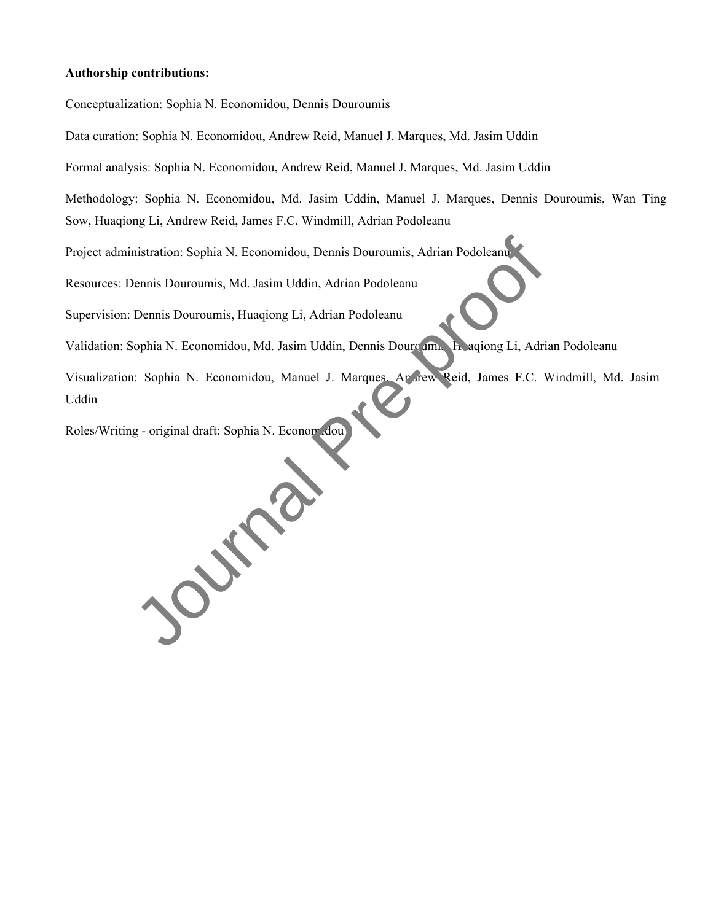#### **Authorship contributions:**

Conceptualization: Sophia N. Economidou, Dennis Douroumis

Data curation: Sophia N. Economidou, Andrew Reid, Manuel J. Marques, Md. Jasim Uddin

Formal analysis: Sophia N. Economidou, Andrew Reid, Manuel J. Marques, Md. Jasim Uddin

Methodology: Sophia N. Economidou, Md. Jasim Uddin, Manuel J. Marques, Dennis Douroumis, Wan Ting Sow, Huaqiong Li, Andrew Reid, James F.C. Windmill, Adrian Podoleanu

Project administration: Sophia N. Economidou, Dennis Douroumis, Adrian Podoleanu

Resources: Dennis Douroumis, Md. Jasim Uddin, Adrian Podoleanu

Supervision: Dennis Douroumis, Huaqiong Li, Adrian Podoleanu

Validation: Sophia N. Economidou, Md. Jasim Uddin, Dennis Douroum. H. aqiong Li, Adrian Podoleanu

Visualization: Sophia N. Economidou, Manuel J. Marques, Ararew Reid, James F.C. Windmill, Md. Jasim Uddin

Roles/Writing - original draft: Sophia N. Econom.dou

Journal Press